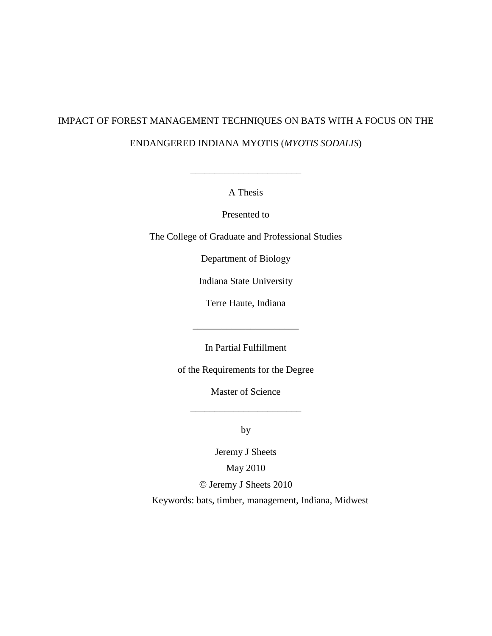# IMPACT OF FOREST MANAGEMENT TECHNIQUES ON BATS WITH A FOCUS ON THE ENDANGERED INDIANA MYOTIS (*MYOTIS SODALIS*)

A Thesis

\_\_\_\_\_\_\_\_\_\_\_\_\_\_\_\_\_\_\_\_\_\_\_

Presented to

The College of Graduate and Professional Studies

Department of Biology

Indiana State University

Terre Haute, Indiana

\_\_\_\_\_\_\_\_\_\_\_\_\_\_\_\_\_\_\_\_\_\_

In Partial Fulfillment

of the Requirements for the Degree

Master of Science

\_\_\_\_\_\_\_\_\_\_\_\_\_\_\_\_\_\_\_\_\_\_\_

by

Jeremy J Sheets May 2010 Jeremy J Sheets 2010

Keywords: bats, timber, management, Indiana, Midwest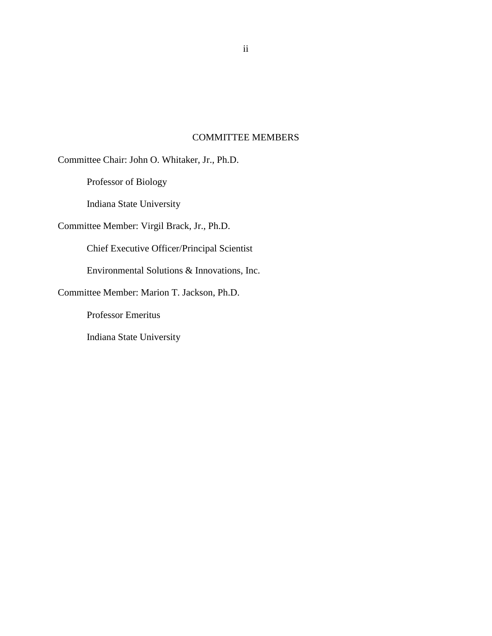#### COMMITTEE MEMBERS

<span id="page-1-0"></span>Committee Chair: John O. Whitaker, Jr., Ph.D.

Professor of Biology

Indiana State University

Committee Member: Virgil Brack, Jr., Ph.D.

Chief Executive Officer/Principal Scientist

Environmental Solutions & Innovations, Inc.

Committee Member: Marion T. Jackson, Ph.D.

Professor Emeritus

Indiana State University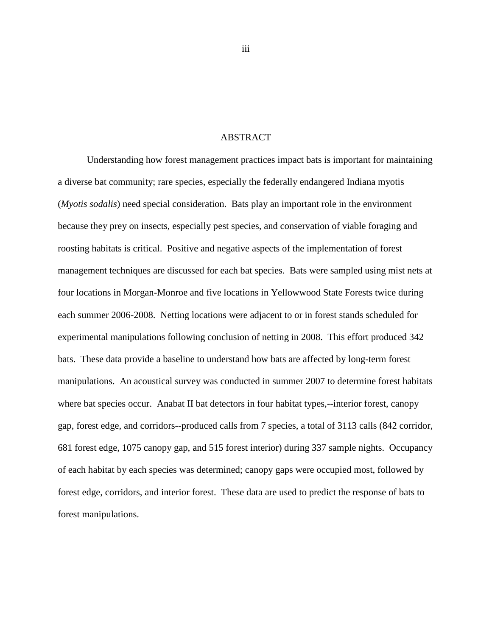#### ABSTRACT

<span id="page-2-0"></span>Understanding how forest management practices impact bats is important for maintaining a diverse bat community; rare species, especially the federally endangered Indiana myotis (*Myotis sodalis*) need special consideration. Bats play an important role in the environment because they prey on insects, especially pest species, and conservation of viable foraging and roosting habitats is critical. Positive and negative aspects of the implementation of forest management techniques are discussed for each bat species. Bats were sampled using mist nets at four locations in Morgan-Monroe and five locations in Yellowwood State Forests twice during each summer 2006-2008. Netting locations were adjacent to or in forest stands scheduled for experimental manipulations following conclusion of netting in 2008. This effort produced 342 bats. These data provide a baseline to understand how bats are affected by long-term forest manipulations. An acoustical survey was conducted in summer 2007 to determine forest habitats where bat species occur. Anabat II bat detectors in four habitat types,--interior forest, canopy gap, forest edge, and corridors--produced calls from 7 species, a total of 3113 calls (842 corridor, 681 forest edge, 1075 canopy gap, and 515 forest interior) during 337 sample nights. Occupancy of each habitat by each species was determined; canopy gaps were occupied most, followed by forest edge, corridors, and interior forest. These data are used to predict the response of bats to forest manipulations.

iii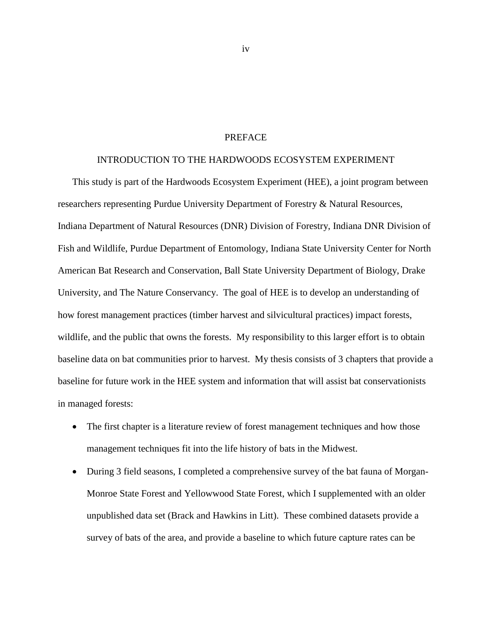#### PREFACE

#### INTRODUCTION TO THE HARDWOODS ECOSYSTEM EXPERIMENT

<span id="page-3-0"></span>This study is part of the Hardwoods Ecosystem Experiment (HEE), a joint program between researchers representing Purdue University Department of Forestry & Natural Resources, Indiana Department of Natural Resources (DNR) Division of Forestry, Indiana DNR Division of Fish and Wildlife, Purdue Department of Entomology, Indiana State University Center for North American Bat Research and Conservation, Ball State University Department of Biology, Drake University, and The Nature Conservancy. The goal of HEE is to develop an understanding of how forest management practices (timber harvest and silvicultural practices) impact forests, wildlife, and the public that owns the forests. My responsibility to this larger effort is to obtain baseline data on bat communities prior to harvest. My thesis consists of 3 chapters that provide a baseline for future work in the HEE system and information that will assist bat conservationists in managed forests:

- The first chapter is a literature review of forest management techniques and how those management techniques fit into the life history of bats in the Midwest.
- During 3 field seasons, I completed a comprehensive survey of the bat fauna of Morgan-Monroe State Forest and Yellowwood State Forest, which I supplemented with an older unpublished data set (Brack and Hawkins in Litt). These combined datasets provide a survey of bats of the area, and provide a baseline to which future capture rates can be

iv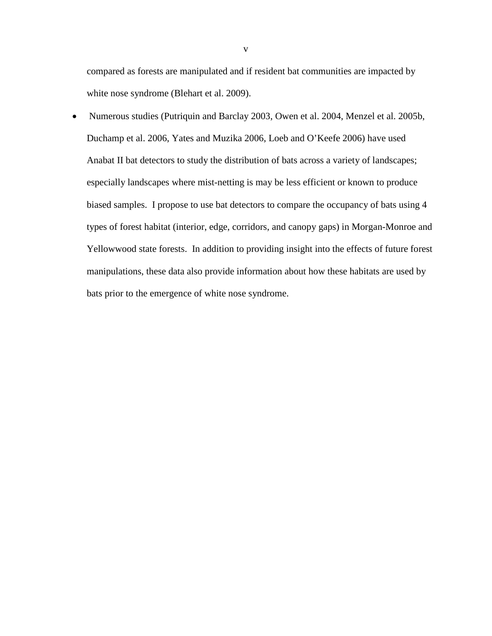compared as forests are manipulated and if resident bat communities are impacted by white nose syndrome (Blehart et al. 2009).

• Numerous studies (Putriquin and Barclay 2003, Owen et al. 2004, Menzel et al. 2005b, Duchamp et al. 2006, Yates and Muzika 2006, Loeb and O'Keefe 2006) have used Anabat II bat detectors to study the distribution of bats across a variety of landscapes; especially landscapes where mist-netting is may be less efficient or known to produce biased samples. I propose to use bat detectors to compare the occupancy of bats using 4 types of forest habitat (interior, edge, corridors, and canopy gaps) in Morgan-Monroe and Yellowwood state forests. In addition to providing insight into the effects of future forest manipulations, these data also provide information about how these habitats are used by bats prior to the emergence of white nose syndrome.

v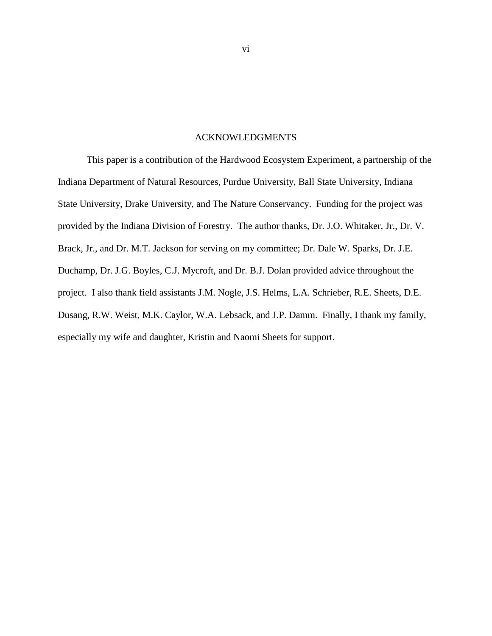#### ACKNOWLEDGMENTS

<span id="page-5-0"></span>This paper is a contribution of the Hardwood Ecosystem Experiment, a partnership of the Indiana Department of Natural Resources, Purdue University, Ball State University, Indiana State University, Drake University, and The Nature Conservancy. Funding for the project was provided by the Indiana Division of Forestry. The author thanks, Dr. J.O. Whitaker, Jr., Dr. V. Brack, Jr., and Dr. M.T. Jackson for serving on my committee; Dr. Dale W. Sparks, Dr. J.E. Duchamp, Dr. J.G. Boyles, C.J. Mycroft, and Dr. B.J. Dolan provided advice throughout the project. I also thank field assistants J.M. Nogle, J.S. Helms, L.A. Schrieber, R.E. Sheets, D.E. Dusang, R.W. Weist, M.K. Caylor, W.A. Lebsack, and J.P. Damm. Finally, I thank my family, especially my wife and daughter, Kristin and Naomi Sheets for support.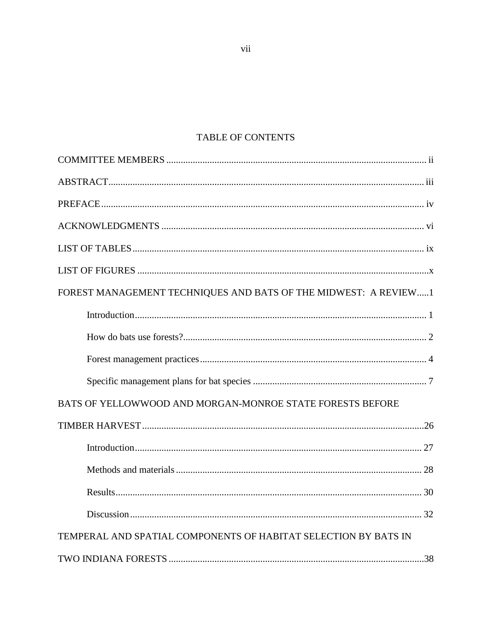## TABLE OF CONTENTS

| FOREST MANAGEMENT TECHNIQUES AND BATS OF THE MIDWEST: A REVIEW1 |
|-----------------------------------------------------------------|
|                                                                 |
|                                                                 |
|                                                                 |
|                                                                 |
| BATS OF YELLOWWOOD AND MORGAN-MONROE STATE FORESTS BEFORE       |
|                                                                 |
|                                                                 |
|                                                                 |
|                                                                 |
|                                                                 |
| TEMPERAL AND SPATIAL COMPONENTS OF HABITAT SELECTION BY BATS IN |
|                                                                 |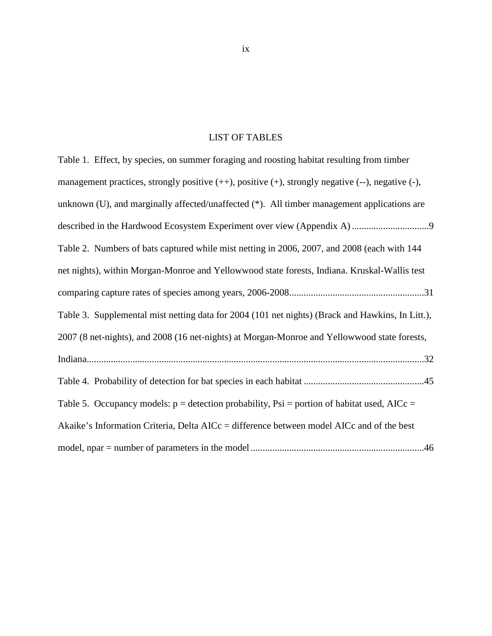#### LIST OF TABLES

<span id="page-8-0"></span>Table 1. Effect, by species, on summer foraging and roosting habitat resulting from timber ................................ described in the Hardwood Ecosystem Experiment over view (Appendix A) 9 management practices, strongly positive  $(++)$ , positive  $(+)$ , strongly negative  $(-)$ , negative  $(-)$ , unknown (U), and marginally affected/unaffected (\*). All timber management applications are Table 2. Numbers of bats captured while mist netting in 2006, 2007, and 2008 (each with 144 ........................................................ comparing capture rates of species among years, 2006-2008 31 net nights), within Morgan-Monroe and Yellowwood state forests, Indiana. Kruskal-Wallis test Table 3. Supplemental mist netting data for 2004 (101 net nights) (Brack and Hawkins, In Litt.), 2007 (8 net-nights), and 2008 (16 net-nights) at Morgan-Monroe and Yellowwood state forests, Indiana............................................................................................................................................32 Table 4. Probability of detection for bat species in each habitat ..................................................45 Table 5. Occupancy models:  $p =$  detection probability, Psi = portion of habitat used, AICc = Akaike's Information Criteria, Delta AICc = difference between model AICc and of the best model, npar = number of parameters in the model ........................................................................46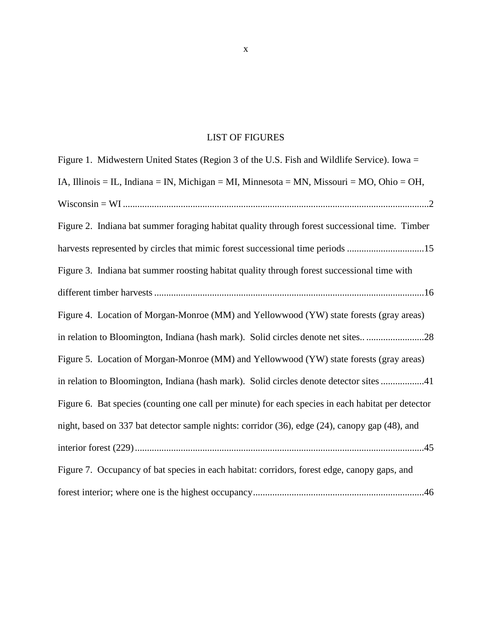### LIST OF FIGURES

<span id="page-9-0"></span>

| Figure 1. Midwestern United States (Region 3 of the U.S. Fish and Wildlife Service). Iowa =        |
|----------------------------------------------------------------------------------------------------|
| IA, Illinois = IL, Indiana = IN, Michigan = MI, Minnesota = MN, Missouri = MO, Ohio = OH,          |
|                                                                                                    |
| Figure 2. Indiana bat summer foraging habitat quality through forest successional time. Timber     |
| harvests represented by circles that mimic forest successional time periods 15                     |
| Figure 3. Indiana bat summer roosting habitat quality through forest successional time with        |
|                                                                                                    |
| Figure 4. Location of Morgan-Monroe (MM) and Yellowwood (YW) state forests (gray areas)            |
| in relation to Bloomington, Indiana (hash mark). Solid circles denote net sites28                  |
| Figure 5. Location of Morgan-Monroe (MM) and Yellowwood (YW) state forests (gray areas)            |
| in relation to Bloomington, Indiana (hash mark). Solid circles denote detector sites 41            |
| Figure 6. Bat species (counting one call per minute) for each species in each habitat per detector |
| night, based on 337 bat detector sample nights: corridor (36), edge (24), canopy gap (48), and     |
|                                                                                                    |
| Figure 7. Occupancy of bat species in each habitat: corridors, forest edge, canopy gaps, and       |
|                                                                                                    |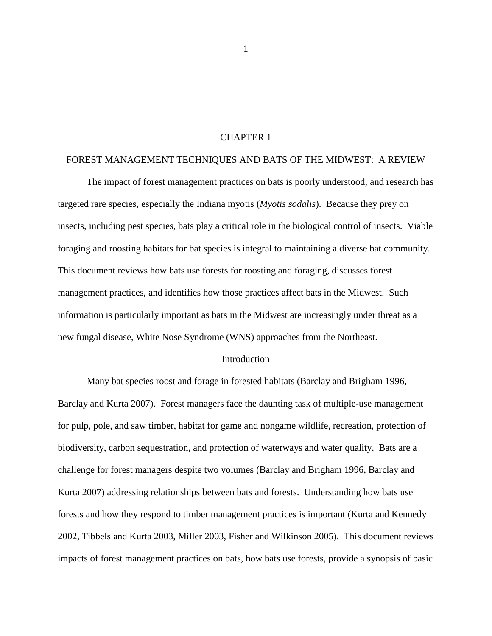#### CHAPTER 1

#### FOREST MANAGEMENT TECHNIQUES AND BATS OF THE MIDWEST: A REVIEW

The impact of forest management practices on bats is poorly understood, and research has targeted rare species, especially the Indiana myotis (*Myotis sodalis*). Because they prey on insects, including pest species, bats play a critical role in the biological control of insects. Viable foraging and roosting habitats for bat species is integral to maintaining a diverse bat community. This document reviews how bats use forests for roosting and foraging, discusses forest management practices, and identifies how those practices affect bats in the Midwest. Such information is particularly important as bats in the Midwest are increasingly under threat as a new fungal disease, White Nose Syndrome (WNS) approaches from the Northeast.

#### Introduction

Many bat species roost and forage in forested habitats (Barclay and Brigham 1996, Barclay and Kurta 2007). Forest managers face the daunting task of multiple-use management for pulp, pole, and saw timber, habitat for game and nongame wildlife, recreation, protection of biodiversity, carbon sequestration, and protection of waterways and water quality. Bats are a challenge for forest managers despite two volumes (Barclay and Brigham 1996, Barclay and Kurta 2007) addressing relationships between bats and forests. Understanding how bats use forests and how they respond to timber management practices is important (Kurta and Kennedy 2002, Tibbels and Kurta 2003, Miller 2003, Fisher and Wilkinson 2005). This document reviews impacts of forest management practices on bats, how bats use forests, provide a synopsis of basic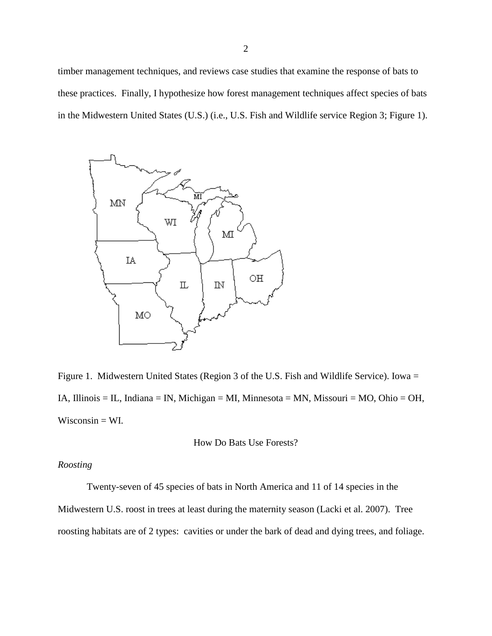timber management techniques, and reviews case studies that examine the response of bats to these practices. Finally, I hypothesize how forest management techniques affect species of bats in the Midwestern United States (U.S.) (i.e., U.S. Fish and Wildlife service Region 3; Figure 1).



Figure 1. Midwestern United States (Region 3 of the U.S. Fish and Wildlife Service). Iowa = IA, Illinois = IL, Indiana = IN, Michigan = MI, Minnesota = MN, Missouri = MO, Ohio = OH,  $Wiscosin = WL$ .

How Do Bats Use Forests?

#### *Roosting*

Twenty-seven of 45 species of bats in North America and 11 of 14 species in the Midwestern U.S. roost in trees at least during the maternity season (Lacki et al. 2007). Tree roosting habitats are of 2 types: cavities or under the bark of dead and dying trees, and foliage.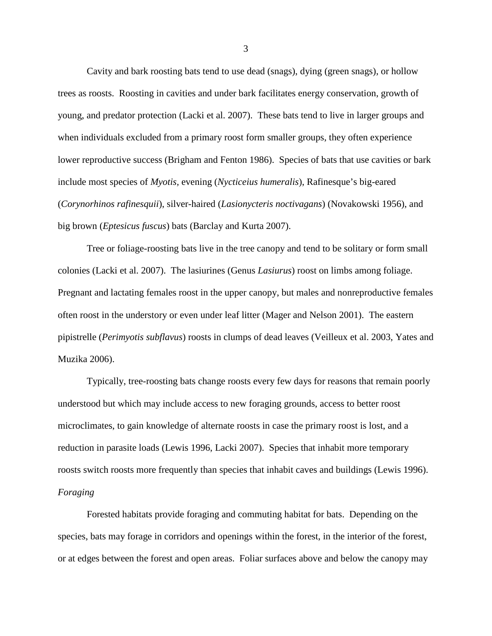Cavity and bark roosting bats tend to use dead (snags), dying (green snags), or hollow trees as roosts. Roosting in cavities and under bark facilitates energy conservation, growth of young, and predator protection (Lacki et al. 2007). These bats tend to live in larger groups and when individuals excluded from a primary roost form smaller groups, they often experience lower reproductive success (Brigham and Fenton 1986). Species of bats that use cavities or bark include most species of *Myotis,* evening (*Nycticeius humeralis*), Rafinesque's big-eared (*Corynorhinos rafinesquii*), silver-haired (*Lasionycteris noctivagans*) (Novakowski 1956), and big brown (*Eptesicus fuscus*) bats (Barclay and Kurta 2007).

Tree or foliage-roosting bats live in the tree canopy and tend to be solitary or form small colonies (Lacki et al. 2007). The lasiurines (Genus *Lasiurus*) roost on limbs among foliage. Pregnant and lactating females roost in the upper canopy, but males and nonreproductive females often roost in the understory or even under leaf litter (Mager and Nelson 2001). The eastern pipistrelle (*Perimyotis subflavus*) roosts in clumps of dead leaves (Veilleux et al. 2003, Yates and Muzika 2006).

Typically, tree-roosting bats change roosts every few days for reasons that remain poorly understood but which may include access to new foraging grounds, access to better roost microclimates, to gain knowledge of alternate roosts in case the primary roost is lost, and a reduction in parasite loads (Lewis 1996, Lacki 2007). Species that inhabit more temporary roosts switch roosts more frequently than species that inhabit caves and buildings (Lewis 1996). *Foraging*

Forested habitats provide foraging and commuting habitat for bats. Depending on the species, bats may forage in corridors and openings within the forest, in the interior of the forest, or at edges between the forest and open areas. Foliar surfaces above and below the canopy may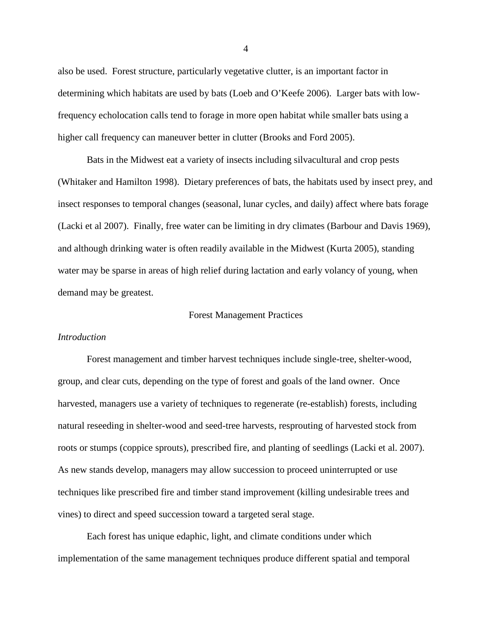also be used. Forest structure, particularly vegetative clutter, is an important factor in determining which habitats are used by bats (Loeb and O'Keefe 2006). Larger bats with lowfrequency echolocation calls tend to forage in more open habitat while smaller bats using a higher call frequency can maneuver better in clutter (Brooks and Ford 2005).

Bats in the Midwest eat a variety of insects including silvacultural and crop pests (Whitaker and Hamilton 1998). Dietary preferences of bats, the habitats used by insect prey, and insect responses to temporal changes (seasonal, lunar cycles, and daily) affect where bats forage (Lacki et al 2007). Finally, free water can be limiting in dry climates (Barbour and Davis 1969), and although drinking water is often readily available in the Midwest (Kurta 2005), standing water may be sparse in areas of high relief during lactation and early volancy of young, when demand may be greatest.

#### Forest Management Practices

#### *Introduction*

Forest management and timber harvest techniques include single-tree, shelter-wood, group, and clear cuts, depending on the type of forest and goals of the land owner. Once harvested, managers use a variety of techniques to regenerate (re-establish) forests, including natural reseeding in shelter-wood and seed-tree harvests, resprouting of harvested stock from roots or stumps (coppice sprouts), prescribed fire, and planting of seedlings (Lacki et al. 2007). As new stands develop, managers may allow succession to proceed uninterrupted or use techniques like prescribed fire and timber stand improvement (killing undesirable trees and vines) to direct and speed succession toward a targeted seral stage.

Each forest has unique edaphic, light, and climate conditions under which implementation of the same management techniques produce different spatial and temporal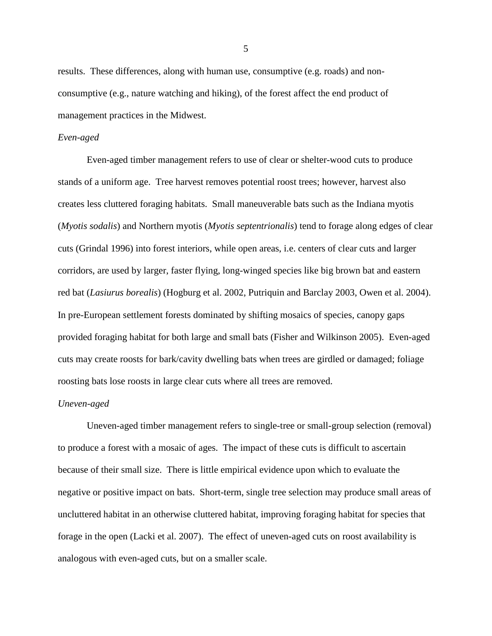results. These differences, along with human use, consumptive (e.g. roads) and nonconsumptive (e.g., nature watching and hiking), of the forest affect the end product of management practices in the Midwest.

#### *Even-aged*

Even-aged timber management refers to use of clear or shelter-wood cuts to produce stands of a uniform age. Tree harvest removes potential roost trees; however, harvest also creates less cluttered foraging habitats. Small maneuverable bats such as the Indiana myotis (*Myotis sodalis*) and Northern myotis (*Myotis septentrionalis*) tend to forage along edges of clear cuts (Grindal 1996) into forest interiors, while open areas, i.e. centers of clear cuts and larger corridors, are used by larger, faster flying, long-winged species like big brown bat and eastern red bat (*Lasiurus borealis*) (Hogburg et al. 2002, Putriquin and Barclay 2003, Owen et al. 2004). In pre-European settlement forests dominated by shifting mosaics of species, canopy gaps provided foraging habitat for both large and small bats (Fisher and Wilkinson 2005). Even-aged cuts may create roosts for bark/cavity dwelling bats when trees are girdled or damaged; foliage roosting bats lose roosts in large clear cuts where all trees are removed.

#### *Uneven-aged*

Uneven-aged timber management refers to single-tree or small-group selection (removal) to produce a forest with a mosaic of ages. The impact of these cuts is difficult to ascertain because of their small size. There is little empirical evidence upon which to evaluate the negative or positive impact on bats. Short-term, single tree selection may produce small areas of uncluttered habitat in an otherwise cluttered habitat, improving foraging habitat for species that forage in the open (Lacki et al. 2007). The effect of uneven-aged cuts on roost availability is analogous with even-aged cuts, but on a smaller scale.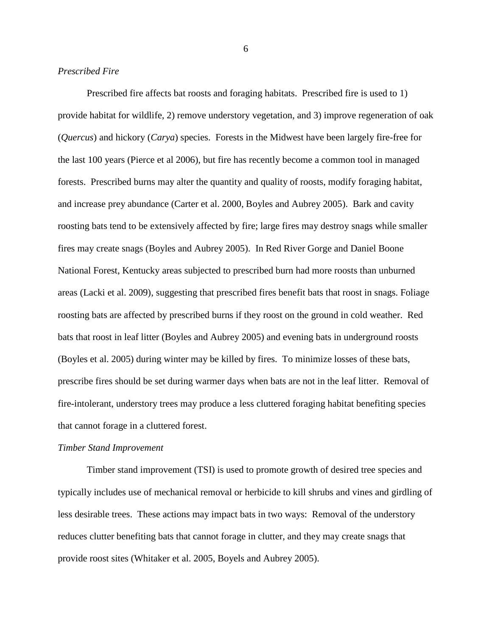#### *Prescribed Fire*

Prescribed fire affects bat roosts and foraging habitats. Prescribed fire is used to 1) provide habitat for wildlife, 2) remove understory vegetation, and 3) improve regeneration of oak (*Quercus*) and hickory (*Carya*) species. Forests in the Midwest have been largely fire-free for the last 100 years (Pierce et al 2006), but fire has recently become a common tool in managed forests. Prescribed burns may alter the quantity and quality of roosts, modify foraging habitat, and increase prey abundance (Carter et al. 2000, Boyles and Aubrey 2005). Bark and cavity roosting bats tend to be extensively affected by fire; large fires may destroy snags while smaller fires may create snags (Boyles and Aubrey 2005). In Red River Gorge and Daniel Boone National Forest, Kentucky areas subjected to prescribed burn had more roosts than unburned areas (Lacki et al. 2009), suggesting that prescribed fires benefit bats that roost in snags. Foliage roosting bats are affected by prescribed burns if they roost on the ground in cold weather. Red bats that roost in leaf litter (Boyles and Aubrey 2005) and evening bats in underground roosts (Boyles et al. 2005) during winter may be killed by fires. To minimize losses of these bats, prescribe fires should be set during warmer days when bats are not in the leaf litter. Removal of fire-intolerant, understory trees may produce a less cluttered foraging habitat benefiting species that cannot forage in a cluttered forest.

#### *Timber Stand Improvement*

Timber stand improvement (TSI) is used to promote growth of desired tree species and typically includes use of mechanical removal or herbicide to kill shrubs and vines and girdling of less desirable trees. These actions may impact bats in two ways: Removal of the understory reduces clutter benefiting bats that cannot forage in clutter, and they may create snags that provide roost sites (Whitaker et al. 2005, Boyels and Aubrey 2005).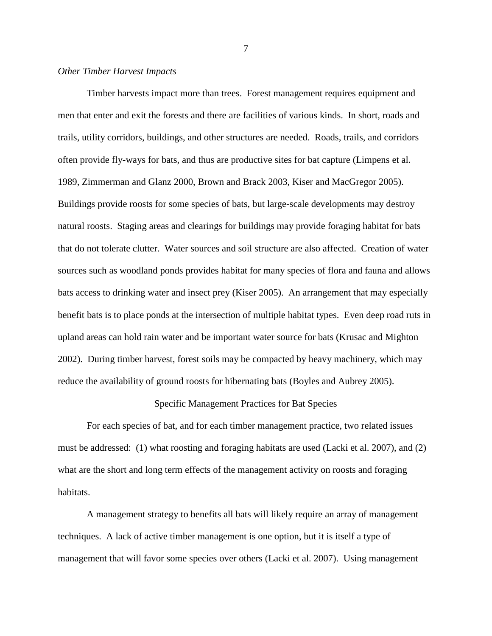#### *Other Timber Harvest Impacts*

Timber harvests impact more than trees. Forest management requires equipment and men that enter and exit the forests and there are facilities of various kinds. In short, roads and trails, utility corridors, buildings, and other structures are needed. Roads, trails, and corridors often provide fly-ways for bats, and thus are productive sites for bat capture (Limpens et al. 1989, Zimmerman and Glanz 2000, Brown and Brack 2003, Kiser and MacGregor 2005). Buildings provide roosts for some species of bats, but large-scale developments may destroy natural roosts. Staging areas and clearings for buildings may provide foraging habitat for bats that do not tolerate clutter. Water sources and soil structure are also affected. Creation of water sources such as woodland ponds provides habitat for many species of flora and fauna and allows bats access to drinking water and insect prey (Kiser 2005). An arrangement that may especially benefit bats is to place ponds at the intersection of multiple habitat types. Even deep road ruts in upland areas can hold rain water and be important water source for bats (Krusac and Mighton 2002). During timber harvest, forest soils may be compacted by heavy machinery, which may reduce the availability of ground roosts for hibernating bats (Boyles and Aubrey 2005).

#### Specific Management Practices for Bat Species

For each species of bat, and for each timber management practice, two related issues must be addressed: (1) what roosting and foraging habitats are used (Lacki et al. 2007), and (2) what are the short and long term effects of the management activity on roosts and foraging habitats.

A management strategy to benefits all bats will likely require an array of management techniques. A lack of active timber management is one option, but it is itself a type of management that will favor some species over others (Lacki et al. 2007). Using management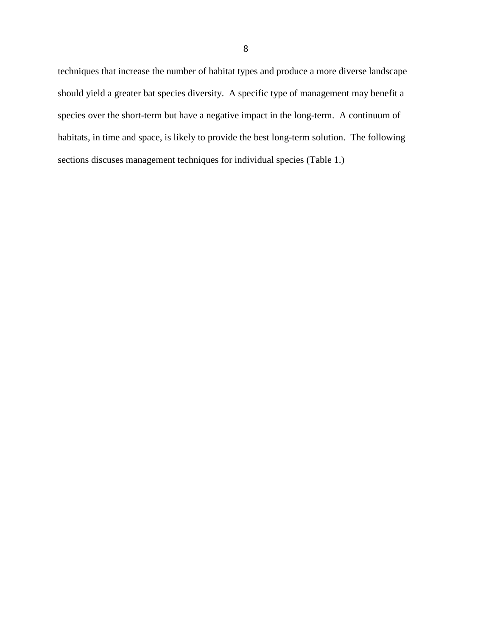techniques that increase the number of habitat types and produce a more diverse landscape should yield a greater bat species diversity. A specific type of management may benefit a species over the short-term but have a negative impact in the long-term. A continuum of habitats, in time and space, is likely to provide the best long-term solution. The following sections discuses management techniques for individual species (Table 1.)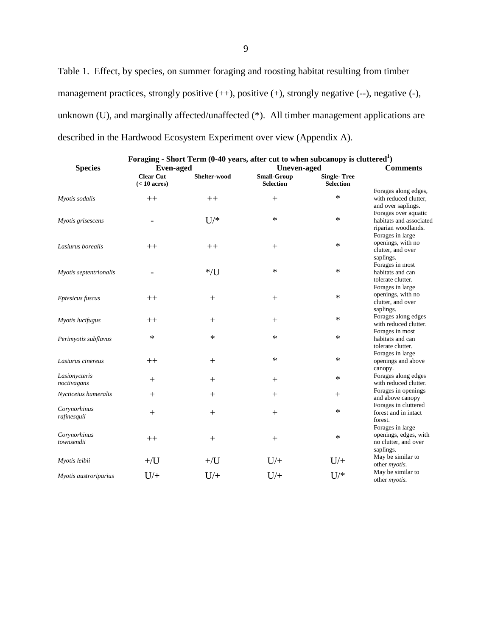Table 1. Effect, by species, on summer foraging and roosting habitat resulting from timber management practices, strongly positive  $(++)$ , positive  $(+)$ , strongly negative  $(-)$ , negative  $(-)$ , unknown (U), and marginally affected/unaffected (\*). All timber management applications are described in the Hardwood Ecosystem Experiment over view (Appendix A).

|                              | Foraging - Short Term (0-40 years, after cut to when subcanopy is cluttered <sup>1</sup> ) |              |                                        |                                        |                                                                                |
|------------------------------|--------------------------------------------------------------------------------------------|--------------|----------------------------------------|----------------------------------------|--------------------------------------------------------------------------------|
| <b>Species</b>               | <b>Even-aged</b>                                                                           |              | <b>Uneven-aged</b>                     |                                        | <b>Comments</b>                                                                |
|                              | <b>Clear Cut</b><br>$(< 10 \text{ acres})$                                                 | Shelter-wood | <b>Small-Group</b><br><b>Selection</b> | <b>Single-Tree</b><br><b>Selection</b> |                                                                                |
| Myotis sodalis               | $++$                                                                                       | $++$         | $\! +$                                 | $\ast$                                 | Forages along edges,<br>with reduced clutter,<br>and over saplings.            |
| Myotis grisescens            |                                                                                            | $U$ /*       | $\ast$                                 | $\ast$                                 | Forages over aquatic<br>habitats and associated<br>riparian woodlands.         |
| Lasiurus borealis            | $++$                                                                                       | $++$         | $^{+}$                                 | $\ast$                                 | Forages in large<br>openings, with no<br>clutter, and over<br>saplings.        |
| Myotis septentrionalis       |                                                                                            | $*$ /U       | *                                      | $\ast$                                 | Forages in most<br>habitats and can<br>tolerate clutter.                       |
| Eptesicus fuscus             | $++$                                                                                       | $^{+}$       | $+$                                    | $\ast$                                 | Forages in large<br>openings, with no<br>clutter, and over<br>saplings.        |
| Myotis lucifugus             | $++$                                                                                       | $^{+}$       | $+$                                    | $\ast$                                 | Forages along edges<br>with reduced clutter.                                   |
| Perimyotis subflavus         | ∗                                                                                          | $\ast$       | *                                      | $\ast$                                 | Forages in most<br>habitats and can<br>tolerate clutter.                       |
| Lasiurus cinereus            | $++$                                                                                       | $^{+}$       | *                                      | $\ast$                                 | Forages in large<br>openings and above<br>canopy.                              |
| Lasionycteris<br>noctivagans | $^{+}$                                                                                     | $^{+}$       | $+$                                    | $\ast$                                 | Forages along edges<br>with reduced clutter.                                   |
| Nycticeius humeralis         | $+$                                                                                        | $+$          | $+$                                    | $^{+}$                                 | Forages in openings<br>and above canopy                                        |
| Corynorhinus<br>rafinesquii  | $^{+}$                                                                                     | $^{+}$       | $^{+}$                                 | $\ast$                                 | Forages in cluttered<br>forest and in intact<br>forest.                        |
| Corynorhinus<br>townsendii   | $++$                                                                                       | $\! +$       | $+$                                    | $\ast$                                 | Forages in large<br>openings, edges, with<br>no clutter, and over<br>saplings. |
| Myotis leibii                | $+$ /U                                                                                     | $+$ /U       | $U/+$                                  | $U$ /+                                 | May be similar to<br>other <i>myotis</i> .                                     |
| Myotis austroriparius        | $U/+$                                                                                      | $U/+$        | $U/+$                                  | $U$ /*                                 | May be similar to<br>other <i>myotis</i> .                                     |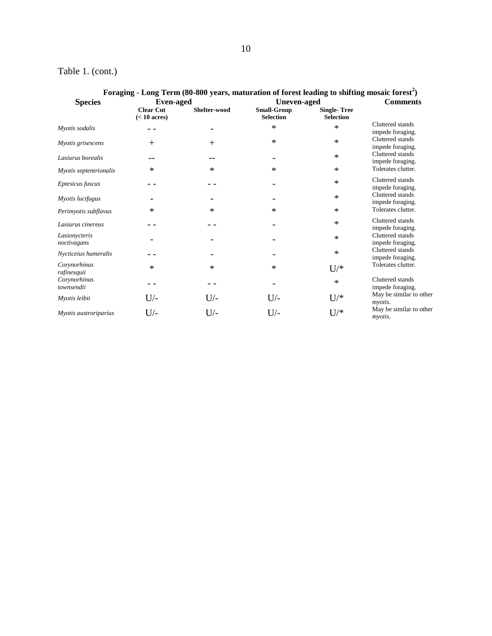## Table 1. (cont.)

| Foraging - Long Term (80-800 years, maturation of forest leading to shifting mosaic forest <sup>2</sup> ) |                                            |              |                                        |                                        |                                      |
|-----------------------------------------------------------------------------------------------------------|--------------------------------------------|--------------|----------------------------------------|----------------------------------------|--------------------------------------|
| <b>Species</b>                                                                                            | <b>Even-aged</b>                           |              | Uneven-aged                            |                                        | <b>Comments</b>                      |
|                                                                                                           | <b>Clear Cut</b><br>$(< 10 \text{ acres})$ | Shelter-wood | <b>Small-Group</b><br><b>Selection</b> | <b>Single-Tree</b><br><b>Selection</b> |                                      |
| Myotis sodalis                                                                                            |                                            |              | *                                      | $\ast$                                 | Cluttered stands<br>impede foraging. |
| Myotis grisescens                                                                                         | $+$                                        | $^{+}$       | $\ast$                                 | $\ast$                                 | Cluttered stands<br>impede foraging. |
| Lasiurus borealis                                                                                         |                                            |              |                                        | $\ast$                                 | Cluttered stands<br>impede foraging. |
| Myotis septentrionalis                                                                                    | ∗                                          | $\ast$       | $\ast$                                 | $\ast$                                 | Tolerates clutter.                   |
| Eptesicus fuscus                                                                                          |                                            |              |                                        | $\ast$                                 | Cluttered stands<br>impede foraging. |
| Myotis lucifugus                                                                                          |                                            |              |                                        | $\ast$                                 | Cluttered stands<br>impede foraging. |
| Perimyotis subflavus                                                                                      | *                                          | ∗            | $\ast$                                 | $\ast$                                 | Tolerates clutter.                   |
| Lasiurus cinereus                                                                                         |                                            |              |                                        | *                                      | Cluttered stands<br>impede foraging. |
| Lasionycteris<br>noctivagans                                                                              |                                            |              |                                        | $\ast$                                 | Cluttered stands<br>impede foraging. |
| Nycticeius humeralis                                                                                      |                                            |              |                                        | $\ast$                                 | Cluttered stands<br>impede foraging. |
| Corynorhinus<br>rafinesquii                                                                               | *                                          | ∗            | $\ast$                                 | $U$ /*                                 | Tolerates clutter.                   |
| Corynorhinus<br>townsendii                                                                                |                                            |              |                                        | $\ast$                                 | Cluttered stands<br>impede foraging. |
| Myotis leibii                                                                                             | $U$ /-                                     | $U$ /-       | $U$ /-                                 | $U$ /*                                 | May be similar to other<br>myotis.   |
| Myotis austroriparius                                                                                     | $U$ /-                                     | $U$ /-       | $U$ /-                                 | $U$ /*                                 | May be similar to other<br>myotis.   |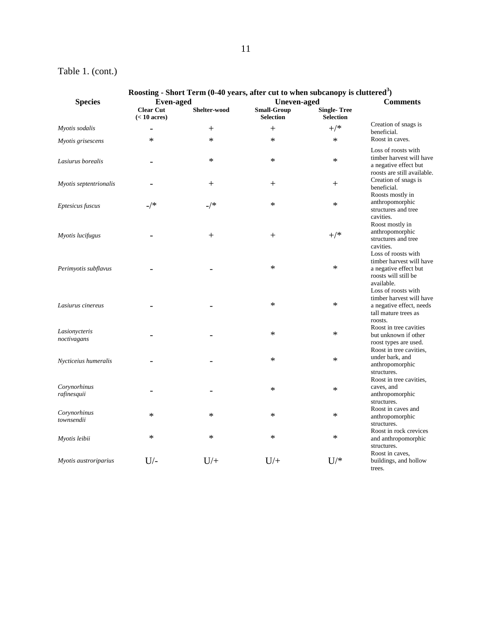## 11

## Table 1. (cont.)

|                              | Roosting - Short Term (0-40 years, after cut to when subcanopy is cluttered <sup>3</sup> ) |        |                                          |                    |                                                                                                                |
|------------------------------|--------------------------------------------------------------------------------------------|--------|------------------------------------------|--------------------|----------------------------------------------------------------------------------------------------------------|
| <b>Species</b>               | <b>Even-aged</b><br><b>Clear Cut</b><br>Shelter-wood                                       |        | <b>Uneven-aged</b><br><b>Small-Group</b> | <b>Single-Tree</b> | <b>Comments</b>                                                                                                |
|                              | $(< 10 \text{ acres})$                                                                     |        | <b>Selection</b>                         | <b>Selection</b>   |                                                                                                                |
| Myotis sodalis               |                                                                                            | $^{+}$ | $^{+}$                                   | $^{+/*}$           | Creation of snags is<br>beneficial.                                                                            |
| Myotis grisescens            | *                                                                                          | $\ast$ | $\ast$                                   | $\ast$             | Roost in caves.                                                                                                |
| Lasiurus borealis            |                                                                                            | ∗      | $\ast$                                   | $\ast$             | Loss of roosts with<br>timber harvest will have<br>a negative effect but<br>roosts are still available.        |
| Myotis septentrionalis       |                                                                                            | $^{+}$ | $^{+}$                                   | $^{+}$             | Creation of snags is<br>beneficial.                                                                            |
| Eptesicus fuscus             | $\mathcal{A}^*$                                                                            | $-$ /* | $\ast$                                   | $\ast$             | Roosts mostly in<br>anthropomorphic<br>structures and tree<br>cavities.                                        |
| Myotis lucifugus             |                                                                                            | $+$    | $^{+}$                                   | $^{+/*}$           | Roost mostly in<br>anthropomorphic<br>structures and tree<br>cavities.                                         |
| Perimyotis subflavus         |                                                                                            |        | $\ast$                                   | $\ast$             | Loss of roosts with<br>timber harvest will have<br>a negative effect but<br>roosts will still be<br>available. |
| Lasiurus cinereus            |                                                                                            |        | $\ast$                                   | $\ast$             | Loss of roosts with<br>timber harvest will have<br>a negative effect, needs<br>tall mature trees as<br>roosts. |
| Lasionycteris<br>noctivagans |                                                                                            |        | $\ast$                                   | $\ast$             | Roost in tree cavities<br>but unknown if other<br>roost types are used.                                        |
| Nycticeius humeralis         |                                                                                            |        | $\ast$                                   | $\ast$             | Roost in tree cavities,<br>under bark, and<br>anthropomorphic<br>structures.                                   |
| Corynorhinus<br>rafinesquii  |                                                                                            |        | $\ast$                                   | $\ast$             | Roost in tree cavities,<br>caves, and<br>anthropomorphic<br>structures.                                        |
| Corynorhinus<br>townsendii   | $\ast$                                                                                     | $\ast$ | $\ast$                                   | $\ast$             | Roost in caves and<br>anthropomorphic<br>structures.                                                           |
| Myotis leibii                | $\ast$                                                                                     | $\ast$ | $\ast$                                   | $\ast$             | Roost in rock crevices<br>and anthropomorphic<br>structures.                                                   |
| Myotis austroriparius        | $U$ /-                                                                                     | $U/+$  | $U/+$                                    | $U$ /*             | Roost in caves,<br>buildings, and hollow<br>trees.                                                             |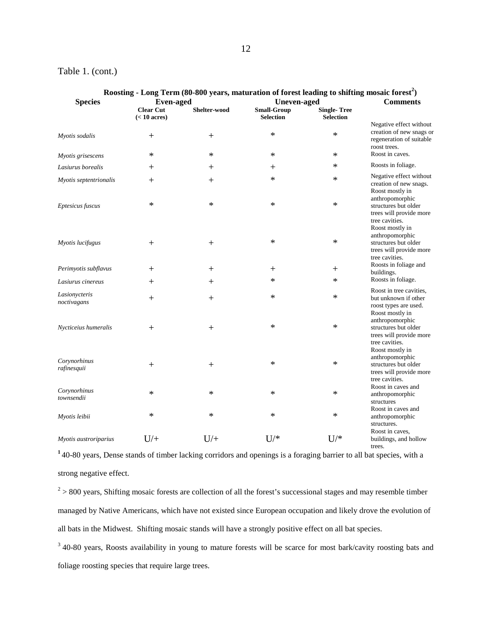#### Table 1. (cont.)

| Roosting - Long Term (80-800 years, maturation of forest leading to shifting mosaic forest <sup>2</sup> ) |                                            |              |                                        |                                        |                                                                                                         |
|-----------------------------------------------------------------------------------------------------------|--------------------------------------------|--------------|----------------------------------------|----------------------------------------|---------------------------------------------------------------------------------------------------------|
| <b>Species</b>                                                                                            | <b>Even-aged</b>                           |              | <b>Uneven-aged</b>                     |                                        | <b>Comments</b>                                                                                         |
|                                                                                                           | <b>Clear Cut</b><br>$(< 10 \text{ acres})$ | Shelter-wood | <b>Small-Group</b><br><b>Selection</b> | <b>Single-Tree</b><br><b>Selection</b> |                                                                                                         |
| Myotis sodalis                                                                                            | $^{+}$                                     | $^{+}$       | $\ast$                                 | $\ast$                                 | Negative effect without<br>creation of new snags or<br>regeneration of suitable<br>roost trees.         |
| Myotis grisescens                                                                                         | $\ast$                                     | $\ast$       | $\ast$                                 | $\ast$                                 | Roost in caves.                                                                                         |
| Lasiurus borealis                                                                                         | $^{+}$                                     | $^{+}$       | $^{+}$                                 | $\ast$                                 | Roosts in foliage.                                                                                      |
| Myotis septentrionalis                                                                                    | $^+$                                       | $^+$         | $\ast$                                 | $\ast$                                 | Negative effect without<br>creation of new snags.<br>Roost mostly in<br>anthropomorphic                 |
| Eptesicus fuscus                                                                                          | ∗                                          | *            | $\ast$                                 | $\ast$                                 | structures but older<br>trees will provide more<br>tree cavities.<br>Roost mostly in                    |
| Myotis lucifugus                                                                                          | $^{+}$                                     | $+$          | $\ast$                                 | $\ast$                                 | anthropomorphic<br>structures but older<br>trees will provide more<br>tree cavities.                    |
| Perimyotis subflavus                                                                                      | $^{+}$                                     | $^{+}$       | $^{+}$                                 | $\hspace{0.1mm} +$                     | Roosts in foliage and<br>buildings.                                                                     |
| Lasiurus cinereus                                                                                         | $^+$                                       | $^+$         | $\ast$                                 | $\ast$                                 | Roosts in foliage.                                                                                      |
| Lasionycteris<br>noctivagans                                                                              | $^{+}$                                     | $^{+}$       | ∗                                      | $\ast$                                 | Roost in tree cavities,<br>but unknown if other<br>roost types are used.<br>Roost mostly in             |
| Nycticeius humeralis                                                                                      | $^{+}$                                     | $^{+}$       | $\ast$                                 | $\ast$                                 | anthropomorphic<br>structures but older<br>trees will provide more<br>tree cavities.                    |
| Corynorhinus<br>rafinesquii                                                                               | $^{+}$                                     | $^{+}$       | $\ast$                                 | ∗                                      | Roost mostly in<br>anthropomorphic<br>structures but older<br>trees will provide more<br>tree cavities. |
| Corynorhinus<br>townsendii                                                                                | $\ast$                                     | *            | $\ast$                                 | $\ast$                                 | Roost in caves and<br>anthropomorphic<br>structures                                                     |
| Myotis leibii                                                                                             | $\ast$                                     | $\ast$       | $\ast$                                 | $\ast$                                 | Roost in caves and<br>anthropomorphic<br>structures.                                                    |
| Myotis austroriparius                                                                                     | $U/$ +                                     | $U/$ +       | $U$ /*                                 | $U$ /*                                 | Roost in caves,<br>buildings, and hollow<br>trees.                                                      |

## **<sup>1</sup>**40-80 years, Dense stands of timber lacking corridors and openings is a foraging barrier to all bat species, with a strong negative effect.

 $2 > 800$  years, Shifting mosaic forests are collection of all the forest's successional stages and may resemble timber managed by Native Americans, which have not existed since European occupation and likely drove the evolution of all bats in the Midwest. Shifting mosaic stands will have a strongly positive effect on all bat species.

<sup>3</sup> 40-80 years, Roosts availability in young to mature forests will be scarce for most bark/cavity roosting bats and foliage roosting species that require large trees.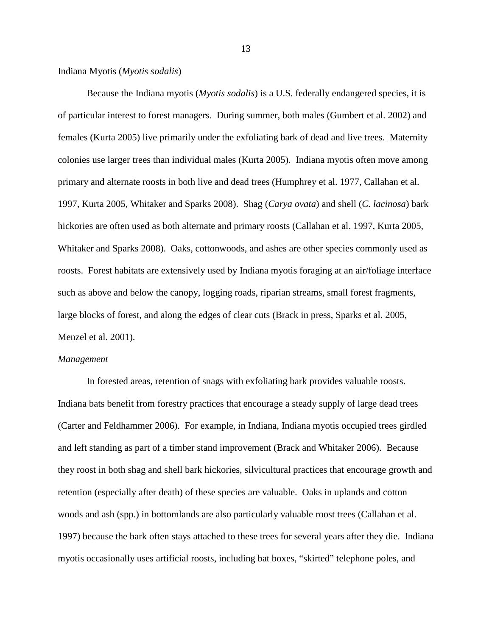#### Indiana Myotis (*Myotis sodalis*)

Because the Indiana myotis (*Myotis sodalis*) is a U.S. federally endangered species, it is of particular interest to forest managers. During summer, both males (Gumbert et al. 2002) and females (Kurta 2005) live primarily under the exfoliating bark of dead and live trees. Maternity colonies use larger trees than individual males (Kurta 2005). Indiana myotis often move among primary and alternate roosts in both live and dead trees (Humphrey et al. 1977, Callahan et al. 1997, Kurta 2005, Whitaker and Sparks 2008). Shag (*Carya ovata*) and shell (*C. lacinosa*) bark hickories are often used as both alternate and primary roosts (Callahan et al. 1997, Kurta 2005, Whitaker and Sparks 2008). Oaks, cottonwoods, and ashes are other species commonly used as roosts. Forest habitats are extensively used by Indiana myotis foraging at an air/foliage interface such as above and below the canopy, logging roads, riparian streams, small forest fragments, large blocks of forest, and along the edges of clear cuts (Brack in press, Sparks et al. 2005, Menzel et al. 2001).

#### *Management*

In forested areas, retention of snags with exfoliating bark provides valuable roosts. Indiana bats benefit from forestry practices that encourage a steady supply of large dead trees (Carter and Feldhammer 2006). For example, in Indiana, Indiana myotis occupied trees girdled and left standing as part of a timber stand improvement (Brack and Whitaker 2006). Because they roost in both shag and shell bark hickories, silvicultural practices that encourage growth and retention (especially after death) of these species are valuable. Oaks in uplands and cotton woods and ash (spp.) in bottomlands are also particularly valuable roost trees (Callahan et al. 1997) because the bark often stays attached to these trees for several years after they die. Indiana myotis occasionally uses artificial roosts, including bat boxes, "skirted" telephone poles, and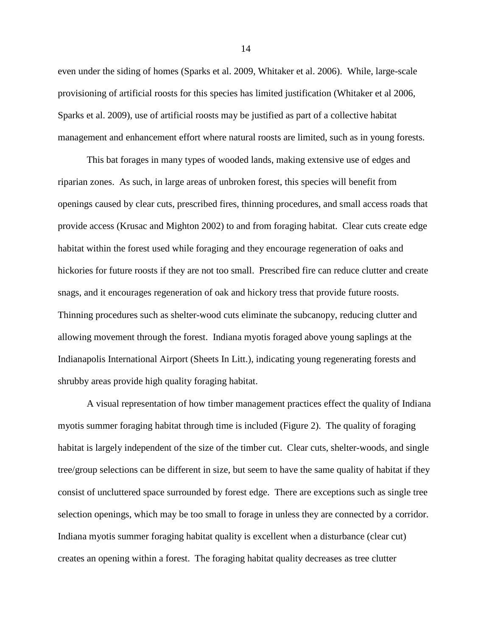even under the siding of homes (Sparks et al. 2009, Whitaker et al. 2006). While, large-scale provisioning of artificial roosts for this species has limited justification (Whitaker et al 2006, Sparks et al. 2009), use of artificial roosts may be justified as part of a collective habitat management and enhancement effort where natural roosts are limited, such as in young forests.

This bat forages in many types of wooded lands, making extensive use of edges and riparian zones. As such, in large areas of unbroken forest, this species will benefit from openings caused by clear cuts, prescribed fires, thinning procedures, and small access roads that provide access (Krusac and Mighton 2002) to and from foraging habitat. Clear cuts create edge habitat within the forest used while foraging and they encourage regeneration of oaks and hickories for future roosts if they are not too small. Prescribed fire can reduce clutter and create snags, and it encourages regeneration of oak and hickory tress that provide future roosts. Thinning procedures such as shelter-wood cuts eliminate the subcanopy, reducing clutter and allowing movement through the forest. Indiana myotis foraged above young saplings at the Indianapolis International Airport (Sheets In Litt.), indicating young regenerating forests and shrubby areas provide high quality foraging habitat.

A visual representation of how timber management practices effect the quality of Indiana myotis summer foraging habitat through time is included (Figure 2). The quality of foraging habitat is largely independent of the size of the timber cut. Clear cuts, shelter-woods, and single tree/group selections can be different in size, but seem to have the same quality of habitat if they consist of uncluttered space surrounded by forest edge. There are exceptions such as single tree selection openings, which may be too small to forage in unless they are connected by a corridor. Indiana myotis summer foraging habitat quality is excellent when a disturbance (clear cut) creates an opening within a forest. The foraging habitat quality decreases as tree clutter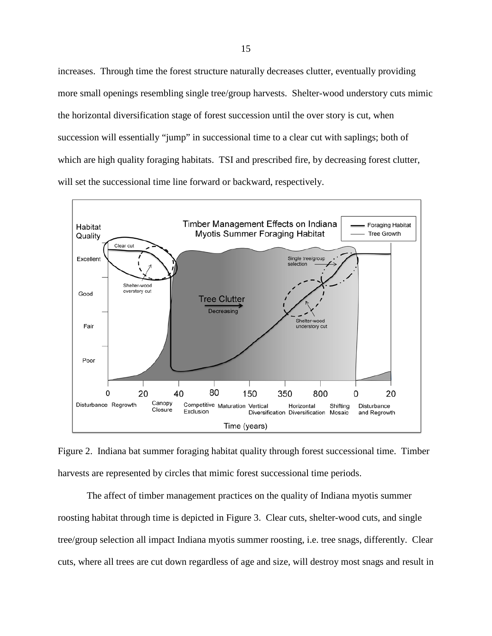increases. Through time the forest structure naturally decreases clutter, eventually providing more small openings resembling single tree/group harvests. Shelter-wood understory cuts mimic the horizontal diversification stage of forest succession until the over story is cut, when succession will essentially "jump" in successional time to a clear cut with saplings; both of which are high quality foraging habitats. TSI and prescribed fire, by decreasing forest clutter, will set the successional time line forward or backward, respectively.



Figure 2. Indiana bat summer foraging habitat quality through forest successional time. Timber harvests are represented by circles that mimic forest successional time periods.

The affect of timber management practices on the quality of Indiana myotis summer roosting habitat through time is depicted in Figure 3. Clear cuts, shelter-wood cuts, and single tree/group selection all impact Indiana myotis summer roosting, i.e. tree snags, differently. Clear cuts, where all trees are cut down regardless of age and size, will destroy most snags and result in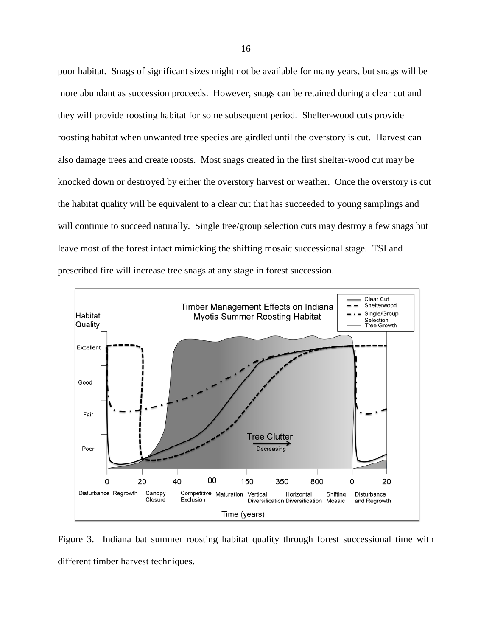poor habitat. Snags of significant sizes might not be available for many years, but snags will be more abundant as succession proceeds. However, snags can be retained during a clear cut and they will provide roosting habitat for some subsequent period. Shelter-wood cuts provide roosting habitat when unwanted tree species are girdled until the overstory is cut. Harvest can also damage trees and create roosts. Most snags created in the first shelter-wood cut may be knocked down or destroyed by either the overstory harvest or weather. Once the overstory is cut the habitat quality will be equivalent to a clear cut that has succeeded to young samplings and will continue to succeed naturally. Single tree/group selection cuts may destroy a few snags but leave most of the forest intact mimicking the shifting mosaic successional stage. TSI and prescribed fire will increase tree snags at any stage in forest succession.



Figure 3. Indiana bat summer roosting habitat quality through forest successional time with different timber harvest techniques.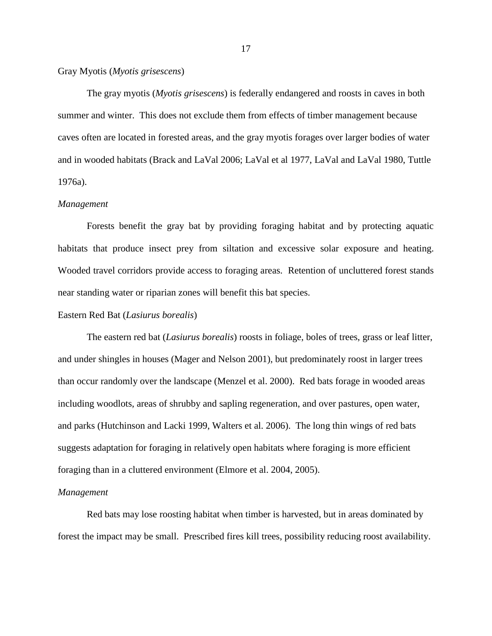Gray Myotis (*Myotis grisescens*)

The gray myotis (*Myotis grisescens*) is federally endangered and roosts in caves in both summer and winter. This does not exclude them from effects of timber management because caves often are located in forested areas, and the gray myotis forages over larger bodies of water and in wooded habitats (Brack and LaVal 2006; LaVal et al 1977, LaVal and LaVal 1980, Tuttle 1976a).

#### *Management*

Forests benefit the gray bat by providing foraging habitat and by protecting aquatic habitats that produce insect prey from siltation and excessive solar exposure and heating. Wooded travel corridors provide access to foraging areas. Retention of uncluttered forest stands near standing water or riparian zones will benefit this bat species.

#### Eastern Red Bat (*Lasiurus borealis*)

The eastern red bat (*Lasiurus borealis*) roosts in foliage, boles of trees, grass or leaf litter, and under shingles in houses (Mager and Nelson 2001), but predominately roost in larger trees than occur randomly over the landscape (Menzel et al. 2000). Red bats forage in wooded areas including woodlots, areas of shrubby and sapling regeneration, and over pastures, open water, and parks (Hutchinson and Lacki 1999, Walters et al. 2006). The long thin wings of red bats suggests adaptation for foraging in relatively open habitats where foraging is more efficient foraging than in a cluttered environment (Elmore et al. 2004, 2005).

#### *Management*

Red bats may lose roosting habitat when timber is harvested, but in areas dominated by forest the impact may be small. Prescribed fires kill trees, possibility reducing roost availability.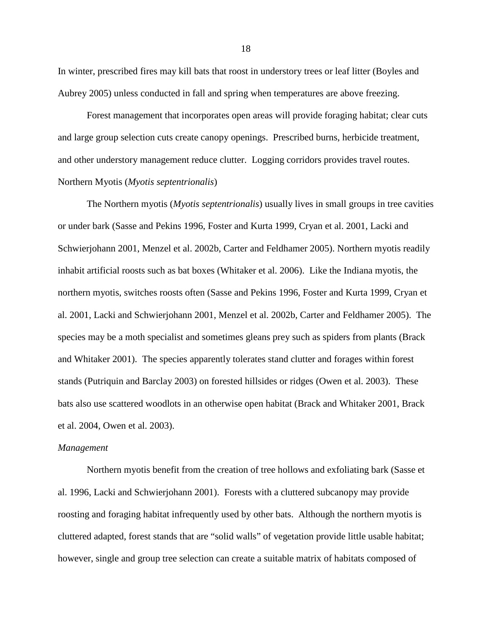In winter, prescribed fires may kill bats that roost in understory trees or leaf litter (Boyles and Aubrey 2005) unless conducted in fall and spring when temperatures are above freezing.

Forest management that incorporates open areas will provide foraging habitat; clear cuts and large group selection cuts create canopy openings. Prescribed burns, herbicide treatment, and other understory management reduce clutter. Logging corridors provides travel routes. Northern Myotis (*Myotis septentrionalis*)

The Northern myotis (*Myotis septentrionalis*) usually lives in small groups in tree cavities or under bark (Sasse and Pekins 1996, Foster and Kurta 1999, Cryan et al. 2001, Lacki and Schwierjohann 2001, Menzel et al. 2002b, Carter and Feldhamer 2005). Northern myotis readily inhabit artificial roosts such as bat boxes (Whitaker et al. 2006). Like the Indiana myotis, the northern myotis, switches roosts often (Sasse and Pekins 1996, Foster and Kurta 1999, Cryan et al. 2001, Lacki and Schwierjohann 2001, Menzel et al. 2002b, Carter and Feldhamer 2005). The species may be a moth specialist and sometimes gleans prey such as spiders from plants (Brack and Whitaker 2001). The species apparently tolerates stand clutter and forages within forest stands (Putriquin and Barclay 2003) on forested hillsides or ridges (Owen et al. 2003). These bats also use scattered woodlots in an otherwise open habitat (Brack and Whitaker 2001, Brack et al. 2004, Owen et al. 2003).

#### *Management*

Northern myotis benefit from the creation of tree hollows and exfoliating bark (Sasse et al. 1996, Lacki and Schwierjohann 2001). Forests with a cluttered subcanopy may provide roosting and foraging habitat infrequently used by other bats. Although the northern myotis is cluttered adapted, forest stands that are "solid walls" of vegetation provide little usable habitat; however, single and group tree selection can create a suitable matrix of habitats composed of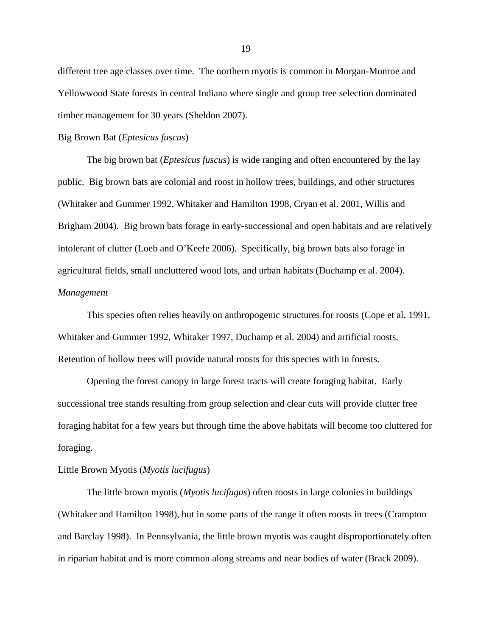different tree age classes over time. The northern myotis is common in Morgan-Monroe and Yellowwood State forests in central Indiana where single and group tree selection dominated timber management for 30 years (Sheldon 2007).

#### Big Brown Bat (*Eptesicus fuscus*)

The big brown bat (*Eptesicus fuscus*) is wide ranging and often encountered by the lay public. Big brown bats are colonial and roost in hollow trees, buildings, and other structures (Whitaker and Gummer 1992, Whitaker and Hamilton 1998, Cryan et al. 2001, Willis and Brigham 2004). Big brown bats forage in early-successional and open habitats and are relatively intolerant of clutter (Loeb and O'Keefe 2006). Specifically, big brown bats also forage in agricultural fields, small uncluttered wood lots, and urban habitats (Duchamp et al. 2004). *Management*

This species often relies heavily on anthropogenic structures for roosts (Cope et al. 1991, Whitaker and Gummer 1992, Whitaker 1997, Duchamp et al. 2004) and artificial roosts. Retention of hollow trees will provide natural roosts for this species with in forests.

Opening the forest canopy in large forest tracts will create foraging habitat. Early successional tree stands resulting from group selection and clear cuts will provide clutter free foraging habitat for a few years but through time the above habitats will become too cluttered for foraging.

#### Little Brown Myotis (*Myotis lucifugus*)

The little brown myotis (*Myotis lucifugus*) often roosts in large colonies in buildings (Whitaker and Hamilton 1998), but in some parts of the range it often roosts in trees (Crampton and Barclay 1998). In Pennsylvania, the little brown myotis was caught disproportionately often in riparian habitat and is more common along streams and near bodies of water (Brack 2009).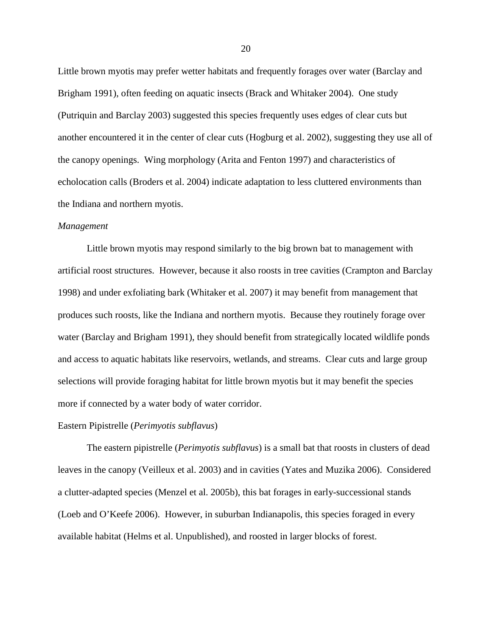Little brown myotis may prefer wetter habitats and frequently forages over water (Barclay and Brigham 1991), often feeding on aquatic insects (Brack and Whitaker 2004). One study (Putriquin and Barclay 2003) suggested this species frequently uses edges of clear cuts but another encountered it in the center of clear cuts (Hogburg et al. 2002), suggesting they use all of the canopy openings. Wing morphology (Arita and Fenton 1997) and characteristics of echolocation calls (Broders et al. 2004) indicate adaptation to less cluttered environments than the Indiana and northern myotis.

#### *Management*

Little brown myotis may respond similarly to the big brown bat to management with artificial roost structures. However, because it also roosts in tree cavities (Crampton and Barclay 1998) and under exfoliating bark (Whitaker et al. 2007) it may benefit from management that produces such roosts, like the Indiana and northern myotis. Because they routinely forage over water (Barclay and Brigham 1991), they should benefit from strategically located wildlife ponds and access to aquatic habitats like reservoirs, wetlands, and streams. Clear cuts and large group selections will provide foraging habitat for little brown myotis but it may benefit the species more if connected by a water body of water corridor.

#### Eastern Pipistrelle (*Perimyotis subflavus*)

The eastern pipistrelle (*Perimyotis subflavus*) is a small bat that roosts in clusters of dead leaves in the canopy (Veilleux et al. 2003) and in cavities (Yates and Muzika 2006). Considered a clutter-adapted species (Menzel et al. 2005b), this bat forages in early-successional stands (Loeb and O'Keefe 2006). However, in suburban Indianapolis, this species foraged in every available habitat (Helms et al. Unpublished), and roosted in larger blocks of forest.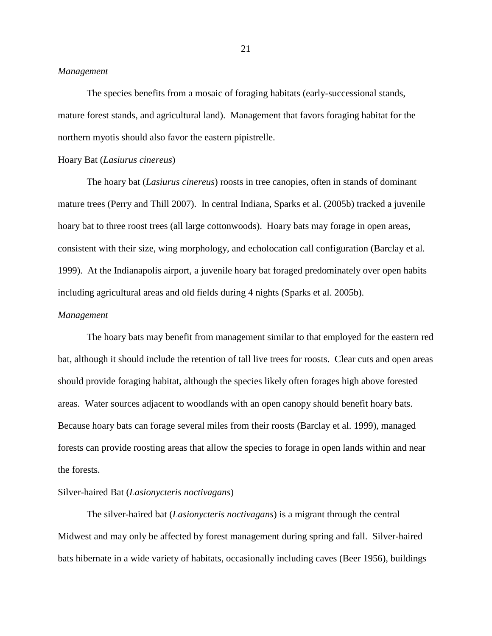#### *Management*

The species benefits from a mosaic of foraging habitats (early-successional stands, mature forest stands, and agricultural land). Management that favors foraging habitat for the northern myotis should also favor the eastern pipistrelle.

#### Hoary Bat (*Lasiurus cinereus*)

The hoary bat (*Lasiurus cinereus*) roosts in tree canopies, often in stands of dominant mature trees (Perry and Thill 2007). In central Indiana, Sparks et al. (2005b) tracked a juvenile hoary bat to three roost trees (all large cottonwoods). Hoary bats may forage in open areas, consistent with their size, wing morphology, and echolocation call configuration (Barclay et al. 1999). At the Indianapolis airport, a juvenile hoary bat foraged predominately over open habits including agricultural areas and old fields during 4 nights (Sparks et al. 2005b).

#### *Management*

The hoary bats may benefit from management similar to that employed for the eastern red bat, although it should include the retention of tall live trees for roosts. Clear cuts and open areas should provide foraging habitat, although the species likely often forages high above forested areas. Water sources adjacent to woodlands with an open canopy should benefit hoary bats. Because hoary bats can forage several miles from their roosts (Barclay et al. 1999), managed forests can provide roosting areas that allow the species to forage in open lands within and near the forests.

#### Silver-haired Bat (*Lasionycteris noctivagans*)

The silver-haired bat (*Lasionycteris noctivagans*) is a migrant through the central Midwest and may only be affected by forest management during spring and fall. Silver-haired bats hibernate in a wide variety of habitats, occasionally including caves (Beer 1956), buildings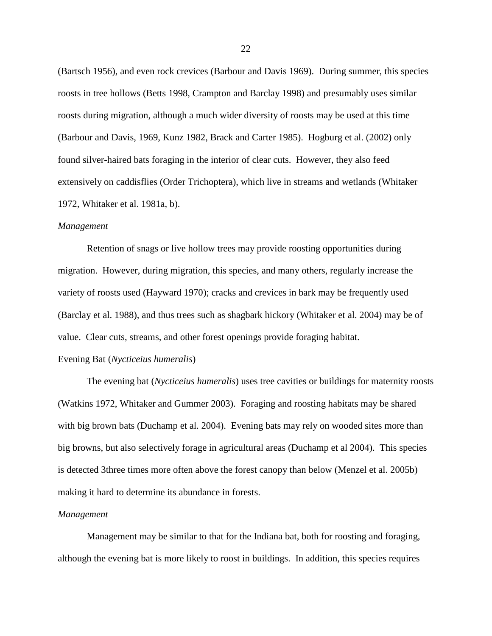(Bartsch 1956), and even rock crevices (Barbour and Davis 1969). During summer, this species roosts in tree hollows (Betts 1998, Crampton and Barclay 1998) and presumably uses similar roosts during migration, although a much wider diversity of roosts may be used at this time (Barbour and Davis, 1969, Kunz 1982, Brack and Carter 1985). Hogburg et al. (2002) only found silver-haired bats foraging in the interior of clear cuts. However, they also feed extensively on caddisflies (Order Trichoptera), which live in streams and wetlands (Whitaker 1972, Whitaker et al. 1981a, b).

#### *Management*

Retention of snags or live hollow trees may provide roosting opportunities during migration. However, during migration, this species, and many others, regularly increase the variety of roosts used (Hayward 1970); cracks and crevices in bark may be frequently used (Barclay et al. 1988), and thus trees such as shagbark hickory (Whitaker et al. 2004) may be of value. Clear cuts, streams, and other forest openings provide foraging habitat.

#### Evening Bat (*Nycticeius humeralis*)

The evening bat (*Nycticeius humeralis*) uses tree cavities or buildings for maternity roosts (Watkins 1972, Whitaker and Gummer 2003). Foraging and roosting habitats may be shared with big brown bats (Duchamp et al. 2004). Evening bats may rely on wooded sites more than big browns, but also selectively forage in agricultural areas (Duchamp et al 2004). This species is detected 3three times more often above the forest canopy than below (Menzel et al. 2005b) making it hard to determine its abundance in forests.

#### *Management*

Management may be similar to that for the Indiana bat, both for roosting and foraging, although the evening bat is more likely to roost in buildings. In addition, this species requires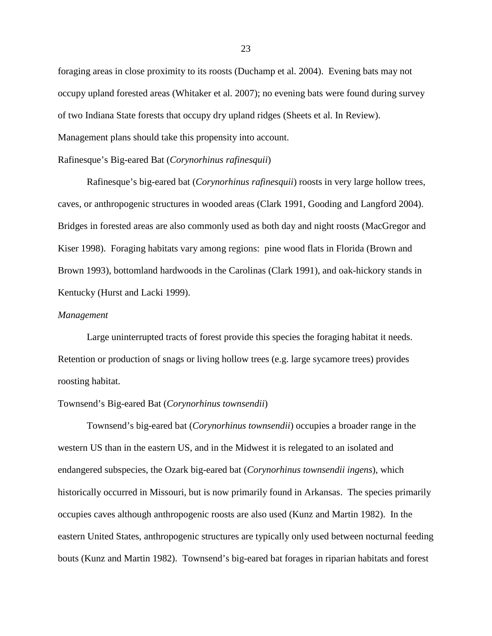foraging areas in close proximity to its roosts (Duchamp et al. 2004). Evening bats may not occupy upland forested areas (Whitaker et al. 2007); no evening bats were found during survey of two Indiana State forests that occupy dry upland ridges (Sheets et al. In Review). Management plans should take this propensity into account.

#### Rafinesque's Big-eared Bat (*Corynorhinus rafinesquii*)

Rafinesque's big-eared bat (*Corynorhinus rafinesquii*) roosts in very large hollow trees, caves, or anthropogenic structures in wooded areas (Clark 1991, Gooding and Langford 2004). Bridges in forested areas are also commonly used as both day and night roosts (MacGregor and Kiser 1998). Foraging habitats vary among regions: pine wood flats in Florida (Brown and Brown 1993), bottomland hardwoods in the Carolinas (Clark 1991), and oak-hickory stands in Kentucky (Hurst and Lacki 1999).

#### *Management*

Large uninterrupted tracts of forest provide this species the foraging habitat it needs. Retention or production of snags or living hollow trees (e.g. large sycamore trees) provides roosting habitat.

#### Townsend's Big-eared Bat (*Corynorhinus townsendii*)

Townsend's big-eared bat (*Corynorhinus townsendii*) occupies a broader range in the western US than in the eastern US, and in the Midwest it is relegated to an isolated and endangered subspecies, the Ozark big-eared bat (*Corynorhinus townsendii ingens*), which historically occurred in Missouri, but is now primarily found in Arkansas. The species primarily occupies caves although anthropogenic roosts are also used (Kunz and Martin 1982). In the eastern United States, anthropogenic structures are typically only used between nocturnal feeding bouts (Kunz and Martin 1982). Townsend's big-eared bat forages in riparian habitats and forest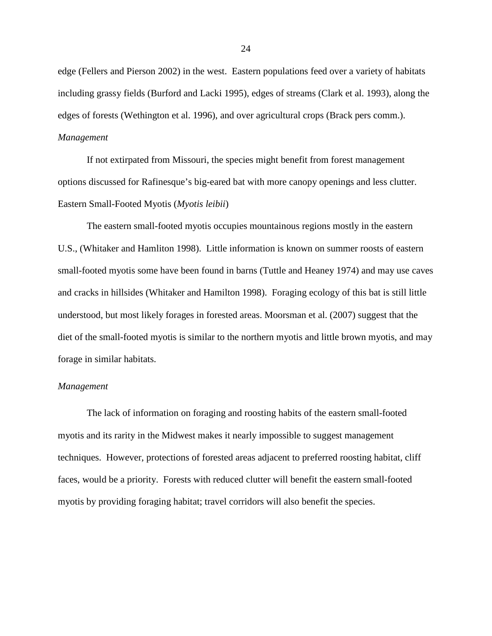edge (Fellers and Pierson 2002) in the west. Eastern populations feed over a variety of habitats including grassy fields (Burford and Lacki 1995), edges of streams (Clark et al. 1993), along the edges of forests (Wethington et al. 1996), and over agricultural crops (Brack pers comm.). *Management*

If not extirpated from Missouri, the species might benefit from forest management options discussed for Rafinesque's big-eared bat with more canopy openings and less clutter. Eastern Small-Footed Myotis (*Myotis leibii*)

The eastern small-footed myotis occupies mountainous regions mostly in the eastern U.S., (Whitaker and Hamliton 1998). Little information is known on summer roosts of eastern small-footed myotis some have been found in barns (Tuttle and Heaney 1974) and may use caves and cracks in hillsides (Whitaker and Hamilton 1998). Foraging ecology of this bat is still little understood, but most likely forages in forested areas. Moorsman et al. (2007) suggest that the diet of the small-footed myotis is similar to the northern myotis and little brown myotis, and may forage in similar habitats.

#### *Management*

The lack of information on foraging and roosting habits of the eastern small-footed myotis and its rarity in the Midwest makes it nearly impossible to suggest management techniques. However, protections of forested areas adjacent to preferred roosting habitat, cliff faces, would be a priority. Forests with reduced clutter will benefit the eastern small-footed myotis by providing foraging habitat; travel corridors will also benefit the species.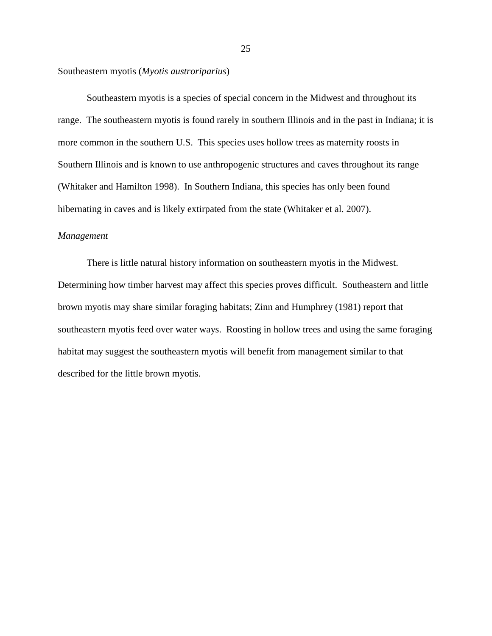Southeastern myotis (*Myotis austroriparius*)

Southeastern myotis is a species of special concern in the Midwest and throughout its range. The southeastern myotis is found rarely in southern Illinois and in the past in Indiana; it is more common in the southern U.S. This species uses hollow trees as maternity roosts in Southern Illinois and is known to use anthropogenic structures and caves throughout its range (Whitaker and Hamilton 1998). In Southern Indiana, this species has only been found hibernating in caves and is likely extirpated from the state (Whitaker et al. 2007).

#### *Management*

There is little natural history information on southeastern myotis in the Midwest. Determining how timber harvest may affect this species proves difficult. Southeastern and little brown myotis may share similar foraging habitats; Zinn and Humphrey (1981) report that southeastern myotis feed over water ways. Roosting in hollow trees and using the same foraging habitat may suggest the southeastern myotis will benefit from management similar to that described for the little brown myotis.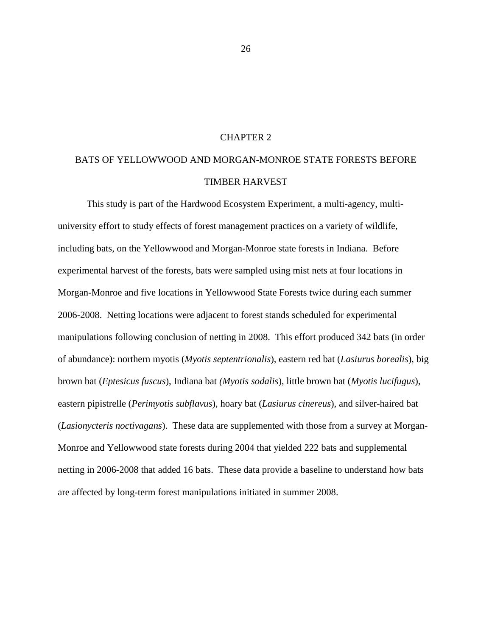#### CHAPTER 2

# BATS OF YELLOWWOOD AND MORGAN-MONROE STATE FORESTS BEFORE TIMBER HARVEST

This study is part of the Hardwood Ecosystem Experiment, a multi-agency, multiuniversity effort to study effects of forest management practices on a variety of wildlife, including bats, on the Yellowwood and Morgan-Monroe state forests in Indiana. Before experimental harvest of the forests, bats were sampled using mist nets at four locations in Morgan-Monroe and five locations in Yellowwood State Forests twice during each summer 2006-2008. Netting locations were adjacent to forest stands scheduled for experimental manipulations following conclusion of netting in 2008. This effort produced 342 bats (in order of abundance): northern myotis (*Myotis septentrionalis*), eastern red bat (*Lasiurus borealis*), big brown bat (*Eptesicus fuscus*), Indiana bat *(Myotis sodalis*), little brown bat (*Myotis lucifugus*), eastern pipistrelle (*Perimyotis subflavus*), hoary bat (*Lasiurus cinereus*), and silver-haired bat (*Lasionycteris noctivagans*). These data are supplemented with those from a survey at Morgan-Monroe and Yellowwood state forests during 2004 that yielded 222 bats and supplemental netting in 2006-2008 that added 16 bats. These data provide a baseline to understand how bats are affected by long-term forest manipulations initiated in summer 2008.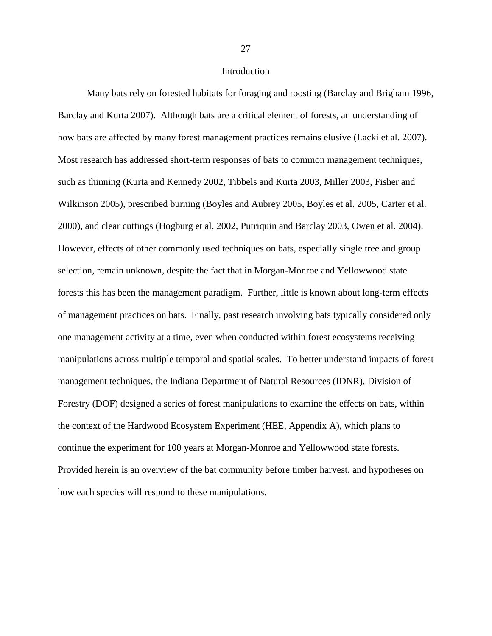Many bats rely on forested habitats for foraging and roosting (Barclay and Brigham 1996, Barclay and Kurta 2007). Although bats are a critical element of forests, an understanding of how bats are affected by many forest management practices remains elusive (Lacki et al. 2007). Most research has addressed short-term responses of bats to common management techniques, such as thinning (Kurta and Kennedy 2002, Tibbels and Kurta 2003, Miller 2003, Fisher and Wilkinson 2005), prescribed burning (Boyles and Aubrey 2005, Boyles et al. 2005, Carter et al. 2000), and clear cuttings (Hogburg et al. 2002, Putriquin and Barclay 2003, Owen et al. 2004). However, effects of other commonly used techniques on bats, especially single tree and group selection, remain unknown, despite the fact that in Morgan-Monroe and Yellowwood state forests this has been the management paradigm. Further, little is known about long-term effects of management practices on bats. Finally, past research involving bats typically considered only one management activity at a time, even when conducted within forest ecosystems receiving manipulations across multiple temporal and spatial scales. To better understand impacts of forest management techniques, the Indiana Department of Natural Resources (IDNR), Division of Forestry (DOF) designed a series of forest manipulations to examine the effects on bats, within the context of the Hardwood Ecosystem Experiment (HEE, Appendix A), which plans to continue the experiment for 100 years at Morgan-Monroe and Yellowwood state forests. Provided herein is an overview of the bat community before timber harvest, and hypotheses on how each species will respond to these manipulations.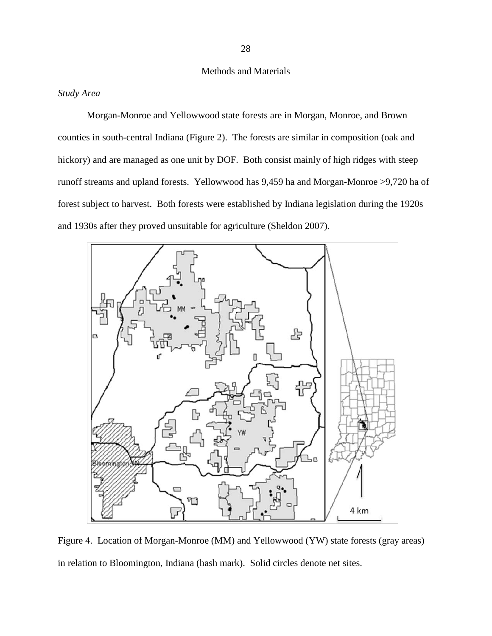## Methods and Materials

# *Study Area*

Morgan-Monroe and Yellowwood state forests are in Morgan, Monroe, and Brown counties in south-central Indiana (Figure 2). The forests are similar in composition (oak and hickory) and are managed as one unit by DOF. Both consist mainly of high ridges with steep runoff streams and upland forests. Yellowwood has 9,459 ha and Morgan-Monroe >9,720 ha of forest subject to harvest. Both forests were established by Indiana legislation during the 1920s and 1930s after they proved unsuitable for agriculture (Sheldon 2007).



Figure 4. Location of Morgan-Monroe (MM) and Yellowwood (YW) state forests (gray areas) in relation to Bloomington, Indiana (hash mark). Solid circles denote net sites.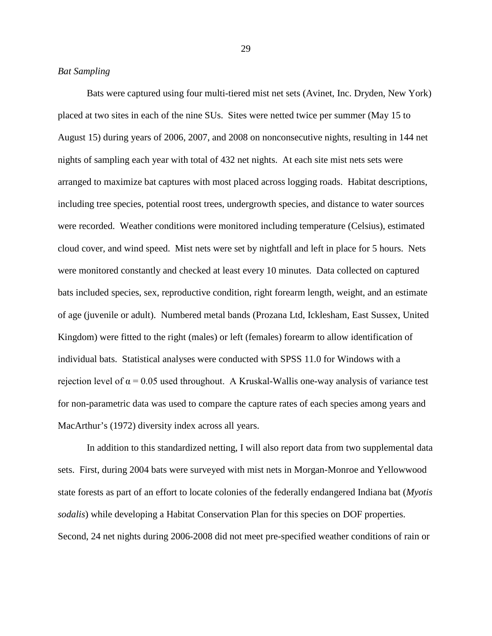Bats were captured using four multi-tiered mist net sets (Avinet, Inc. Dryden, New York) placed at two sites in each of the nine SUs. Sites were netted twice per summer (May 15 to August 15) during years of 2006, 2007, and 2008 on nonconsecutive nights, resulting in 144 net nights of sampling each year with total of 432 net nights. At each site mist nets sets were arranged to maximize bat captures with most placed across logging roads. Habitat descriptions, including tree species, potential roost trees, undergrowth species, and distance to water sources were recorded. Weather conditions were monitored including temperature (Celsius), estimated cloud cover, and wind speed. Mist nets were set by nightfall and left in place for 5 hours. Nets were monitored constantly and checked at least every 10 minutes. Data collected on captured bats included species, sex, reproductive condition, right forearm length, weight, and an estimate of age (juvenile or adult). Numbered metal bands (Prozana Ltd, Icklesham, East Sussex, United Kingdom) were fitted to the right (males) or left (females) forearm to allow identification of individual bats. Statistical analyses were conducted with SPSS 11.0 for Windows with a rejection level of  $\alpha$  = 0.05 used throughout. A Kruskal-Wallis one-way analysis of variance test for non-parametric data was used to compare the capture rates of each species among years and MacArthur's (1972) diversity index across all years.

In addition to this standardized netting, I will also report data from two supplemental data sets. First, during 2004 bats were surveyed with mist nets in Morgan-Monroe and Yellowwood state forests as part of an effort to locate colonies of the federally endangered Indiana bat (*Myotis sodalis*) while developing a Habitat Conservation Plan for this species on DOF properties. Second, 24 net nights during 2006-2008 did not meet pre-specified weather conditions of rain or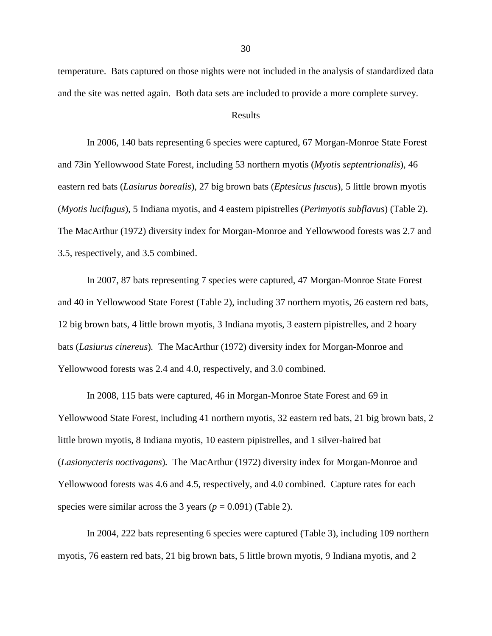temperature. Bats captured on those nights were not included in the analysis of standardized data and the site was netted again. Both data sets are included to provide a more complete survey.

#### Results

In 2006, 140 bats representing 6 species were captured, 67 Morgan-Monroe State Forest and 73in Yellowwood State Forest, including 53 northern myotis (*Myotis septentrionalis*), 46 eastern red bats (*Lasiurus borealis*), 27 big brown bats (*Eptesicus fuscus*), 5 little brown myotis (*Myotis lucifugus*), 5 Indiana myotis, and 4 eastern pipistrelles (*Perimyotis subflavus*) (Table 2). The MacArthur (1972) diversity index for Morgan-Monroe and Yellowwood forests was 2.7 and 3.5, respectively, and 3.5 combined.

In 2007, 87 bats representing 7 species were captured, 47 Morgan-Monroe State Forest and 40 in Yellowwood State Forest (Table 2), including 37 northern myotis, 26 eastern red bats, 12 big brown bats, 4 little brown myotis, 3 Indiana myotis, 3 eastern pipistrelles, and 2 hoary bats (*Lasiurus cinereus*)*.* The MacArthur (1972) diversity index for Morgan-Monroe and Yellowwood forests was 2.4 and 4.0, respectively, and 3.0 combined.

In 2008, 115 bats were captured, 46 in Morgan-Monroe State Forest and 69 in Yellowwood State Forest, including 41 northern myotis, 32 eastern red bats, 21 big brown bats, 2 little brown myotis, 8 Indiana myotis, 10 eastern pipistrelles, and 1 silver-haired bat (*Lasionycteris noctivagans*)*.* The MacArthur (1972) diversity index for Morgan-Monroe and Yellowwood forests was 4.6 and 4.5, respectively, and 4.0 combined. Capture rates for each species were similar across the 3 years  $(p = 0.091)$  (Table 2).

In 2004, 222 bats representing 6 species were captured (Table 3), including 109 northern myotis, 76 eastern red bats, 21 big brown bats, 5 little brown myotis, 9 Indiana myotis, and 2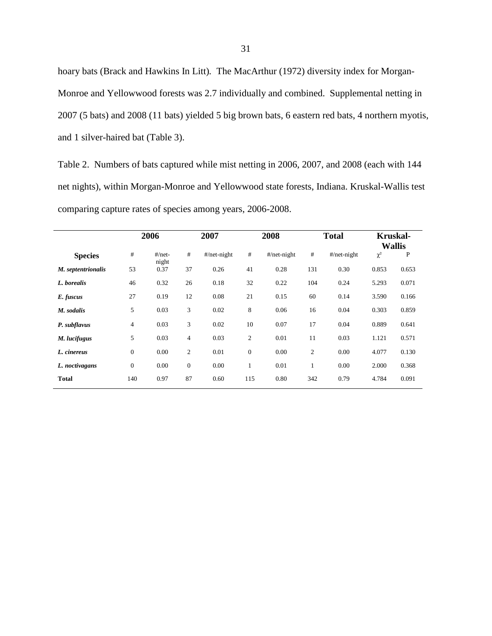hoary bats (Brack and Hawkins In Litt)*.* The MacArthur (1972) diversity index for Morgan-Monroe and Yellowwood forests was 2.7 individually and combined. Supplemental netting in 2007 (5 bats) and 2008 (11 bats) yielded 5 big brown bats, 6 eastern red bats, 4 northern myotis, and 1 silver-haired bat (Table 3).

Table 2. Numbers of bats captured while mist netting in 2006, 2007, and 2008 (each with 144 net nights), within Morgan-Monroe and Yellowwood state forests, Indiana. Kruskal-Wallis test comparing capture rates of species among years, 2006-2008.

|                    |                | 2006              |                | 2007           |                | 2008            |                | <b>Total</b>    |          | <b>Kruskal-</b><br><b>Wallis</b> |
|--------------------|----------------|-------------------|----------------|----------------|----------------|-----------------|----------------|-----------------|----------|----------------------------------|
| <b>Species</b>     | #              | $#/net-$<br>night | #              | $#$ /net-night | #              | $\#$ /net-night | #              | $\#$ /net-night | $\chi^2$ | P                                |
| M. septentrionalis | 53             | 0.37              | 37             | 0.26           | 41             | 0.28            | 131            | 0.30            | 0.853    | 0.653                            |
| L. borealis        | 46             | 0.32              | 26             | 0.18           | 32             | 0.22            | 104            | 0.24            | 5.293    | 0.071                            |
| E. fuscus          | 27             | 0.19              | 12             | 0.08           | 21             | 0.15            | 60             | 0.14            | 3.590    | 0.166                            |
| M. sodalis         | 5              | 0.03              | 3              | 0.02           | 8              | 0.06            | 16             | 0.04            | 0.303    | 0.859                            |
| P. subflavus       | $\overline{4}$ | 0.03              | 3              | 0.02           | 10             | 0.07            | 17             | 0.04            | 0.889    | 0.641                            |
| M. lucifugus       | 5              | 0.03              | $\overline{4}$ | 0.03           | $\mathfrak{2}$ | 0.01            | 11             | 0.03            | 1.121    | 0.571                            |
| L. cinereus        | $\mathbf{0}$   | 0.00              | $\overline{2}$ | 0.01           | $\mathbf{0}$   | 0.00            | $\overline{2}$ | 0.00            | 4.077    | 0.130                            |
| L. noctivagans     | $\mathbf{0}$   | 0.00              | $\mathbf{0}$   | 0.00           | 1              | 0.01            | 1              | 0.00            | 2.000    | 0.368                            |
| <b>Total</b>       | 140            | 0.97              | 87             | 0.60           | 115            | 0.80            | 342            | 0.79            | 4.784    | 0.091                            |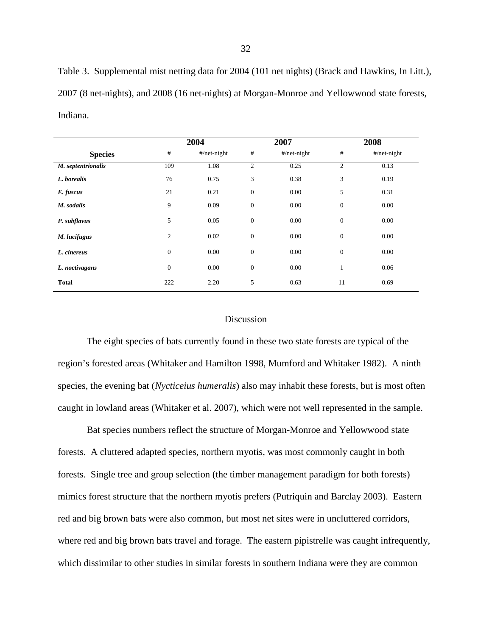Table 3. Supplemental mist netting data for 2004 (101 net nights) (Brack and Hawkins, In Litt.), 2007 (8 net-nights), and 2008 (16 net-nights) at Morgan-Monroe and Yellowwood state forests, Indiana.

|                    |                | 2004            | 2007             |                 | 2008           |                 |  |
|--------------------|----------------|-----------------|------------------|-----------------|----------------|-----------------|--|
| <b>Species</b>     | $\#$           | $\#$ /net-night | $\#$             | $\#$ /net-night | #              | $\#$ /net-night |  |
| M. septentrionalis | 109            | 1.08            | $\overline{2}$   | 0.25            | $\overline{c}$ | 0.13            |  |
| L. borealis        | 76             | 0.75            | 3                | 0.38            | 3              | 0.19            |  |
| E. fuscus          | 21             | 0.21            | $\boldsymbol{0}$ | 0.00            | 5              | 0.31            |  |
| M. sodalis         | 9              | 0.09            | $\boldsymbol{0}$ | 0.00            | $\mathbf{0}$   | 0.00            |  |
| P. subflavus       | 5              | 0.05            | $\boldsymbol{0}$ | $0.00\,$        | $\mathbf{0}$   | 0.00            |  |
| M. lucifugus       | $\mathbf{2}$   | 0.02            | $\boldsymbol{0}$ | 0.00            | $\mathbf{0}$   | 0.00            |  |
| L. cinereus        | $\mathbf{0}$   | 0.00            | $\boldsymbol{0}$ | 0.00            | $\mathbf{0}$   | 0.00            |  |
| L. noctivagans     | $\overline{0}$ | 0.00            | $\boldsymbol{0}$ | 0.00            | $\mathbf{1}$   | 0.06            |  |
| <b>Total</b>       | 222            | 2.20            | 5                | 0.63            | 11             | 0.69            |  |

## Discussion

The eight species of bats currently found in these two state forests are typical of the region's forested areas (Whitaker and Hamilton 1998, Mumford and Whitaker 1982). A ninth species, the evening bat (*Nycticeius humeralis*) also may inhabit these forests, but is most often caught in lowland areas (Whitaker et al. 2007), which were not well represented in the sample.

Bat species numbers reflect the structure of Morgan-Monroe and Yellowwood state forests. A cluttered adapted species, northern myotis, was most commonly caught in both forests. Single tree and group selection (the timber management paradigm for both forests) mimics forest structure that the northern myotis prefers (Putriquin and Barclay 2003). Eastern red and big brown bats were also common, but most net sites were in uncluttered corridors, where red and big brown bats travel and forage. The eastern pipistrelle was caught infrequently, which dissimilar to other studies in similar forests in southern Indiana were they are common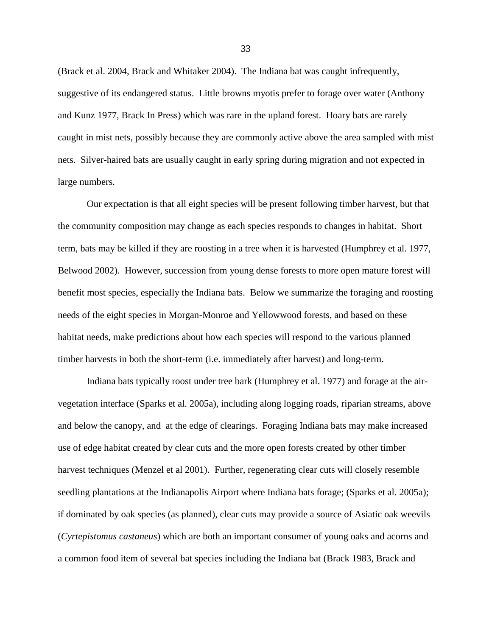(Brack et al. 2004, Brack and Whitaker 2004). The Indiana bat was caught infrequently, suggestive of its endangered status. Little browns myotis prefer to forage over water (Anthony and Kunz 1977, Brack In Press) which was rare in the upland forest. Hoary bats are rarely caught in mist nets, possibly because they are commonly active above the area sampled with mist nets. Silver-haired bats are usually caught in early spring during migration and not expected in large numbers.

Our expectation is that all eight species will be present following timber harvest, but that the community composition may change as each species responds to changes in habitat. Short term, bats may be killed if they are roosting in a tree when it is harvested (Humphrey et al. 1977, Belwood 2002). However, succession from young dense forests to more open mature forest will benefit most species, especially the Indiana bats. Below we summarize the foraging and roosting needs of the eight species in Morgan-Monroe and Yellowwood forests, and based on these habitat needs, make predictions about how each species will respond to the various planned timber harvests in both the short-term (i.e. immediately after harvest) and long-term.

Indiana bats typically roost under tree bark (Humphrey et al. 1977) and forage at the airvegetation interface (Sparks et al. 2005a), including along logging roads, riparian streams, above and below the canopy, and at the edge of clearings. Foraging Indiana bats may make increased use of edge habitat created by clear cuts and the more open forests created by other timber harvest techniques (Menzel et al 2001). Further, regenerating clear cuts will closely resemble seedling plantations at the Indianapolis Airport where Indiana bats forage; (Sparks et al. 2005a); if dominated by oak species (as planned), clear cuts may provide a source of Asiatic oak weevils (*Cyrtepistomus castaneus*) which are both an important consumer of young oaks and acorns and a common food item of several bat species including the Indiana bat (Brack 1983, Brack and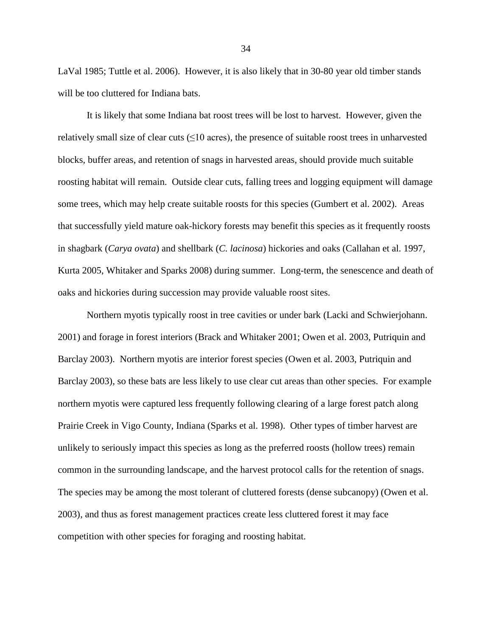LaVal 1985; Tuttle et al. 2006). However, it is also likely that in 30-80 year old timber stands will be too cluttered for Indiana bats.

It is likely that some Indiana bat roost trees will be lost to harvest. However, given the relatively small size of clear cuts  $(\leq 10$  acres), the presence of suitable roost trees in unharvested blocks, buffer areas, and retention of snags in harvested areas, should provide much suitable roosting habitat will remain. Outside clear cuts, falling trees and logging equipment will damage some trees, which may help create suitable roosts for this species (Gumbert et al. 2002). Areas that successfully yield mature oak-hickory forests may benefit this species as it frequently roosts in shagbark (*Carya ovata*) and shellbark (*C. lacinosa*) hickories and oaks (Callahan et al. 1997, Kurta 2005, Whitaker and Sparks 2008) during summer. Long-term, the senescence and death of oaks and hickories during succession may provide valuable roost sites.

Northern myotis typically roost in tree cavities or under bark (Lacki and Schwierjohann. 2001) and forage in forest interiors (Brack and Whitaker 2001; Owen et al. 2003, Putriquin and Barclay 2003). Northern myotis are interior forest species (Owen et al. 2003, Putriquin and Barclay 2003), so these bats are less likely to use clear cut areas than other species. For example northern myotis were captured less frequently following clearing of a large forest patch along Prairie Creek in Vigo County, Indiana (Sparks et al. 1998). Other types of timber harvest are unlikely to seriously impact this species as long as the preferred roosts (hollow trees) remain common in the surrounding landscape, and the harvest protocol calls for the retention of snags. The species may be among the most tolerant of cluttered forests (dense subcanopy) (Owen et al. 2003), and thus as forest management practices create less cluttered forest it may face competition with other species for foraging and roosting habitat.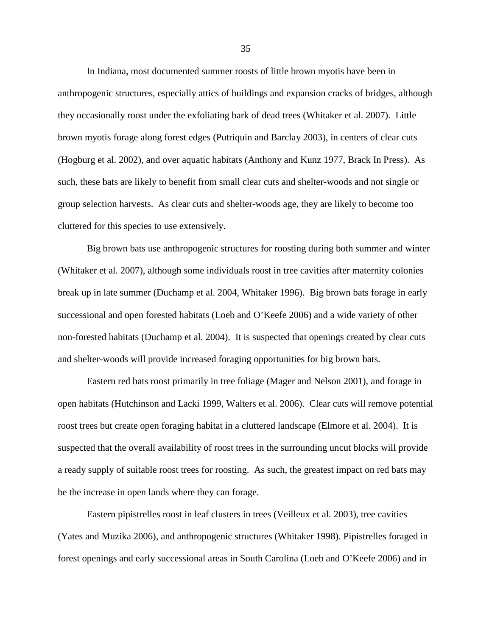In Indiana, most documented summer roosts of little brown myotis have been in anthropogenic structures, especially attics of buildings and expansion cracks of bridges, although they occasionally roost under the exfoliating bark of dead trees (Whitaker et al. 2007). Little brown myotis forage along forest edges (Putriquin and Barclay 2003), in centers of clear cuts (Hogburg et al. 2002), and over aquatic habitats (Anthony and Kunz 1977, Brack In Press). As such, these bats are likely to benefit from small clear cuts and shelter-woods and not single or group selection harvests. As clear cuts and shelter-woods age, they are likely to become too cluttered for this species to use extensively.

Big brown bats use anthropogenic structures for roosting during both summer and winter (Whitaker et al. 2007), although some individuals roost in tree cavities after maternity colonies break up in late summer (Duchamp et al. 2004, Whitaker 1996). Big brown bats forage in early successional and open forested habitats (Loeb and O'Keefe 2006) and a wide variety of other non-forested habitats (Duchamp et al. 2004). It is suspected that openings created by clear cuts and shelter-woods will provide increased foraging opportunities for big brown bats.

Eastern red bats roost primarily in tree foliage (Mager and Nelson 2001), and forage in open habitats (Hutchinson and Lacki 1999, Walters et al. 2006). Clear cuts will remove potential roost trees but create open foraging habitat in a cluttered landscape (Elmore et al. 2004). It is suspected that the overall availability of roost trees in the surrounding uncut blocks will provide a ready supply of suitable roost trees for roosting. As such, the greatest impact on red bats may be the increase in open lands where they can forage.

Eastern pipistrelles roost in leaf clusters in trees (Veilleux et al. 2003), tree cavities (Yates and Muzika 2006), and anthropogenic structures (Whitaker 1998). Pipistrelles foraged in forest openings and early successional areas in South Carolina (Loeb and O'Keefe 2006) and in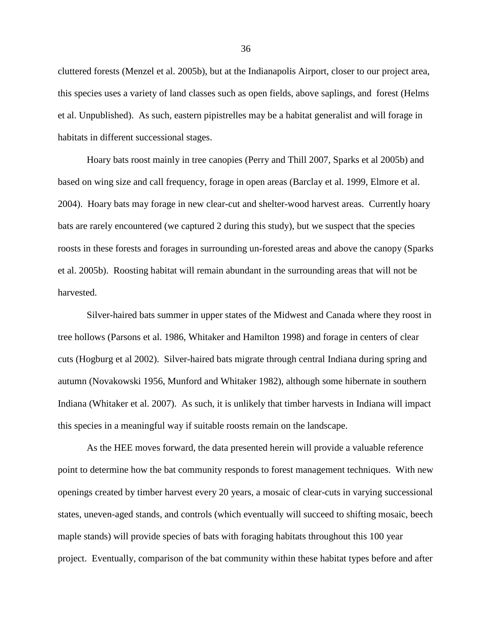cluttered forests (Menzel et al. 2005b), but at the Indianapolis Airport, closer to our project area, this species uses a variety of land classes such as open fields, above saplings, and forest (Helms et al. Unpublished). As such, eastern pipistrelles may be a habitat generalist and will forage in habitats in different successional stages.

Hoary bats roost mainly in tree canopies (Perry and Thill 2007, Sparks et al 2005b) and based on wing size and call frequency, forage in open areas (Barclay et al. 1999, Elmore et al. 2004). Hoary bats may forage in new clear-cut and shelter-wood harvest areas. Currently hoary bats are rarely encountered (we captured 2 during this study), but we suspect that the species roosts in these forests and forages in surrounding un-forested areas and above the canopy (Sparks et al. 2005b). Roosting habitat will remain abundant in the surrounding areas that will not be harvested.

Silver-haired bats summer in upper states of the Midwest and Canada where they roost in tree hollows (Parsons et al. 1986, Whitaker and Hamilton 1998) and forage in centers of clear cuts (Hogburg et al 2002). Silver-haired bats migrate through central Indiana during spring and autumn (Novakowski 1956, Munford and Whitaker 1982), although some hibernate in southern Indiana (Whitaker et al. 2007). As such, it is unlikely that timber harvests in Indiana will impact this species in a meaningful way if suitable roosts remain on the landscape.

As the HEE moves forward, the data presented herein will provide a valuable reference point to determine how the bat community responds to forest management techniques. With new openings created by timber harvest every 20 years, a mosaic of clear-cuts in varying successional states, uneven-aged stands, and controls (which eventually will succeed to shifting mosaic, beech maple stands) will provide species of bats with foraging habitats throughout this 100 year project. Eventually, comparison of the bat community within these habitat types before and after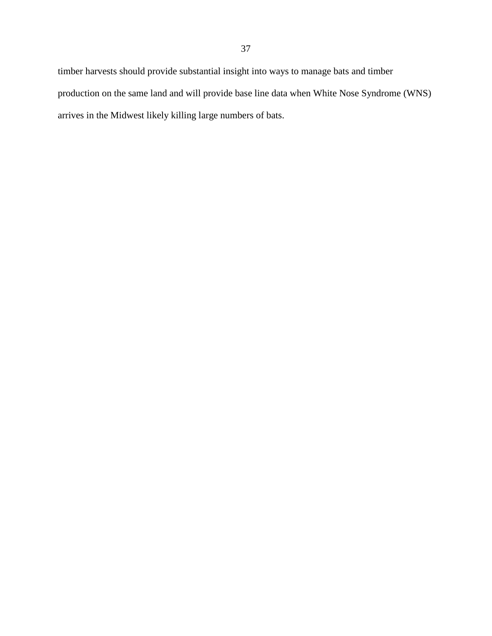timber harvests should provide substantial insight into ways to manage bats and timber production on the same land and will provide base line data when White Nose Syndrome (WNS) arrives in the Midwest likely killing large numbers of bats.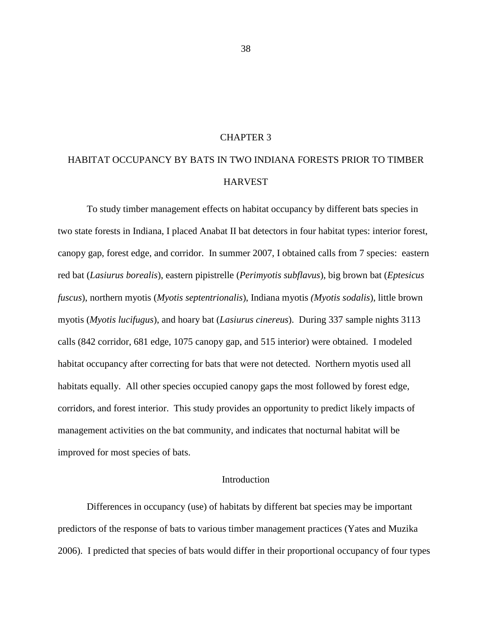# CHAPTER 3

# HABITAT OCCUPANCY BY BATS IN TWO INDIANA FORESTS PRIOR TO TIMBER HARVEST

To study timber management effects on habitat occupancy by different bats species in two state forests in Indiana, I placed Anabat II bat detectors in four habitat types: interior forest, canopy gap, forest edge, and corridor. In summer 2007, I obtained calls from 7 species: eastern red bat (*Lasiurus borealis*), eastern pipistrelle (*Perimyotis subflavus*), big brown bat (*Eptesicus fuscus*), northern myotis (*Myotis septentrionalis*), Indiana myotis *(Myotis sodalis*), little brown myotis (*Myotis lucifugus*), and hoary bat (*Lasiurus cinereus*). During 337 sample nights 3113 calls (842 corridor, 681 edge, 1075 canopy gap, and 515 interior) were obtained. I modeled habitat occupancy after correcting for bats that were not detected. Northern myotis used all habitats equally. All other species occupied canopy gaps the most followed by forest edge, corridors, and forest interior. This study provides an opportunity to predict likely impacts of management activities on the bat community, and indicates that nocturnal habitat will be improved for most species of bats.

#### Introduction

Differences in occupancy (use) of habitats by different bat species may be important predictors of the response of bats to various timber management practices (Yates and Muzika 2006). I predicted that species of bats would differ in their proportional occupancy of four types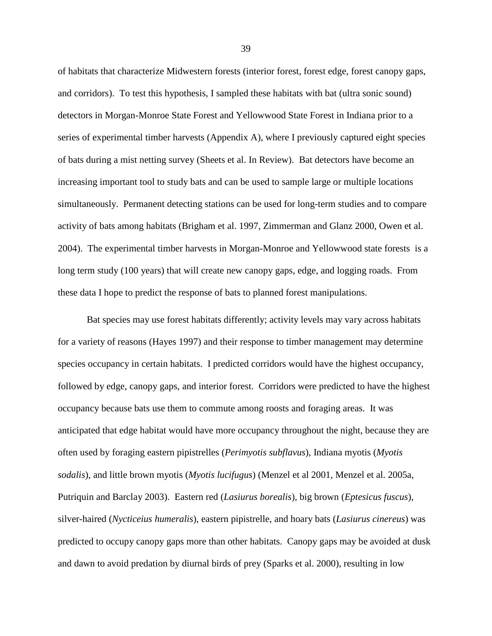of habitats that characterize Midwestern forests (interior forest, forest edge, forest canopy gaps, and corridors). To test this hypothesis, I sampled these habitats with bat (ultra sonic sound) detectors in Morgan-Monroe State Forest and Yellowwood State Forest in Indiana prior to a series of experimental timber harvests (Appendix A), where I previously captured eight species of bats during a mist netting survey (Sheets et al. In Review). Bat detectors have become an increasing important tool to study bats and can be used to sample large or multiple locations simultaneously. Permanent detecting stations can be used for long-term studies and to compare activity of bats among habitats (Brigham et al. 1997, Zimmerman and Glanz 2000, Owen et al. 2004). The experimental timber harvests in Morgan-Monroe and Yellowwood state forests is a long term study (100 years) that will create new canopy gaps, edge, and logging roads. From these data I hope to predict the response of bats to planned forest manipulations.

Bat species may use forest habitats differently; activity levels may vary across habitats for a variety of reasons (Hayes 1997) and their response to timber management may determine species occupancy in certain habitats. I predicted corridors would have the highest occupancy, followed by edge, canopy gaps, and interior forest. Corridors were predicted to have the highest occupancy because bats use them to commute among roosts and foraging areas. It was anticipated that edge habitat would have more occupancy throughout the night, because they are often used by foraging eastern pipistrelles (*Perimyotis subflavus*), Indiana myotis (*Myotis sodalis*), and little brown myotis (*Myotis lucifugus*) (Menzel et al 2001, Menzel et al. 2005a, Putriquin and Barclay 2003). Eastern red (*Lasiurus borealis*), big brown (*Eptesicus fuscus*), silver-haired (*Nycticeius humeralis*), eastern pipistrelle, and hoary bats (*Lasiurus cinereus*) was predicted to occupy canopy gaps more than other habitats. Canopy gaps may be avoided at dusk and dawn to avoid predation by diurnal birds of prey (Sparks et al. 2000), resulting in low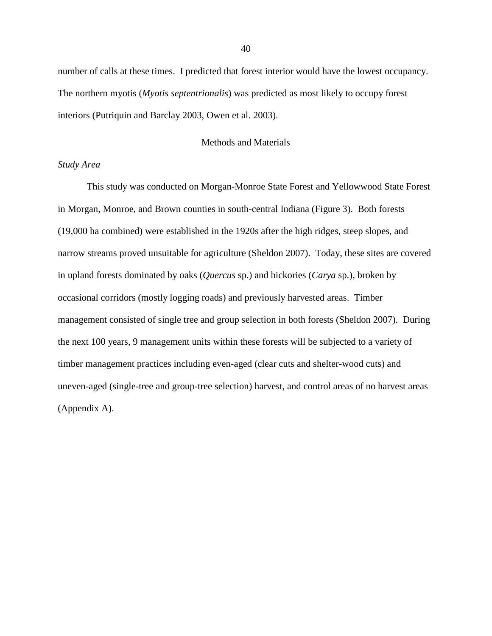number of calls at these times. I predicted that forest interior would have the lowest occupancy. The northern myotis (*Myotis septentrionalis*) was predicted as most likely to occupy forest interiors (Putriquin and Barclay 2003, Owen et al. 2003).

## Methods and Materials

# *Study Area*

This study was conducted on Morgan-Monroe State Forest and Yellowwood State Forest in Morgan, Monroe, and Brown counties in south-central Indiana (Figure 3). Both forests (19,000 ha combined) were established in the 1920s after the high ridges, steep slopes, and narrow streams proved unsuitable for agriculture (Sheldon 2007). Today, these sites are covered in upland forests dominated by oaks (*Quercus* sp.) and hickories (*Carya* sp.), broken by occasional corridors (mostly logging roads) and previously harvested areas. Timber management consisted of single tree and group selection in both forests (Sheldon 2007). During the next 100 years, 9 management units within these forests will be subjected to a variety of timber management practices including even-aged (clear cuts and shelter-wood cuts) and uneven-aged (single-tree and group-tree selection) harvest, and control areas of no harvest areas (Appendix A).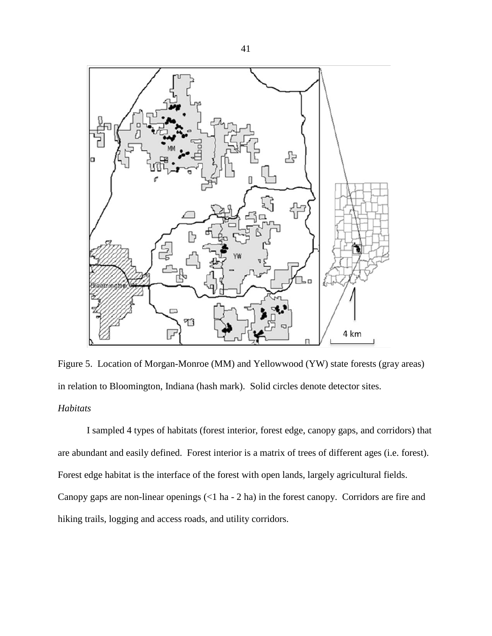

Figure 5. Location of Morgan-Monroe (MM) and Yellowwood (YW) state forests (gray areas) in relation to Bloomington, Indiana (hash mark). Solid circles denote detector sites. *Habitats*

I sampled 4 types of habitats (forest interior, forest edge, canopy gaps, and corridors) that are abundant and easily defined. Forest interior is a matrix of trees of different ages (i.e. forest). Forest edge habitat is the interface of the forest with open lands, largely agricultural fields. Canopy gaps are non-linear openings (<1 ha - 2 ha) in the forest canopy. Corridors are fire and hiking trails, logging and access roads, and utility corridors.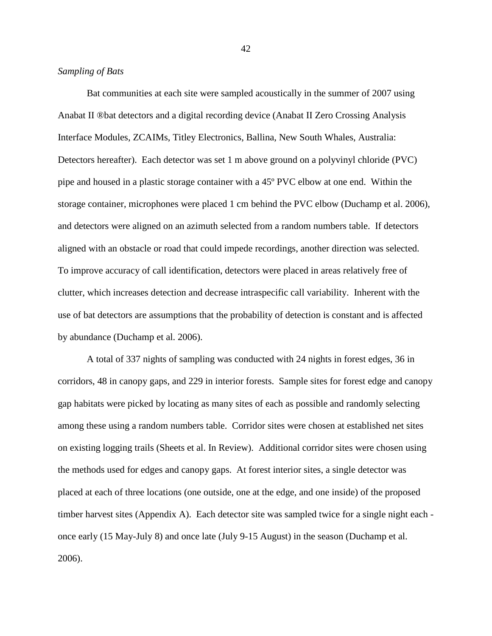# *Sampling of Bats*

Bat communities at each site were sampled acoustically in the summer of 2007 using Anabat II ®bat detectors and a digital recording device (Anabat II Zero Crossing Analysis Interface Modules, ZCAIMs, Titley Electronics, Ballina, New South Whales, Australia: Detectors hereafter). Each detector was set 1 m above ground on a polyvinyl chloride (PVC) pipe and housed in a plastic storage container with a 45º PVC elbow at one end. Within the storage container, microphones were placed 1 cm behind the PVC elbow (Duchamp et al. 2006), and detectors were aligned on an azimuth selected from a random numbers table. If detectors aligned with an obstacle or road that could impede recordings, another direction was selected. To improve accuracy of call identification, detectors were placed in areas relatively free of clutter, which increases detection and decrease intraspecific call variability. Inherent with the use of bat detectors are assumptions that the probability of detection is constant and is affected by abundance (Duchamp et al. 2006).

A total of 337 nights of sampling was conducted with 24 nights in forest edges, 36 in corridors, 48 in canopy gaps, and 229 in interior forests. Sample sites for forest edge and canopy gap habitats were picked by locating as many sites of each as possible and randomly selecting among these using a random numbers table. Corridor sites were chosen at established net sites on existing logging trails (Sheets et al. In Review). Additional corridor sites were chosen using the methods used for edges and canopy gaps. At forest interior sites, a single detector was placed at each of three locations (one outside, one at the edge, and one inside) of the proposed timber harvest sites (Appendix A). Each detector site was sampled twice for a single night each once early (15 May-July 8) and once late (July 9-15 August) in the season (Duchamp et al. 2006).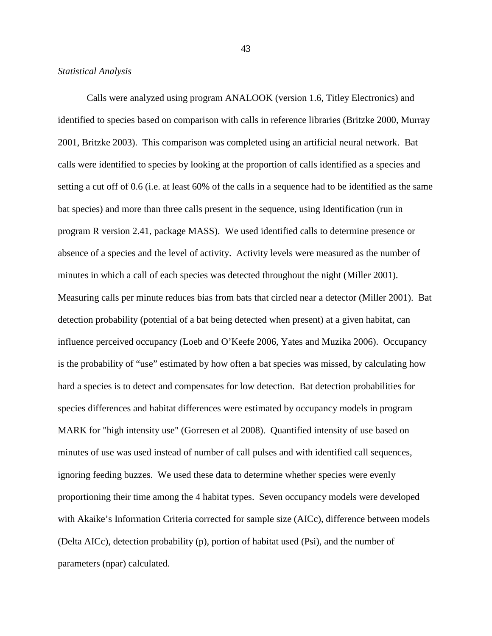Calls were analyzed using program ANALOOK (version 1.6, Titley Electronics) and identified to species based on comparison with calls in reference libraries (Britzke 2000, Murray 2001, Britzke 2003). This comparison was completed using an artificial neural network. Bat calls were identified to species by looking at the proportion of calls identified as a species and setting a cut off of 0.6 (i.e. at least 60% of the calls in a sequence had to be identified as the same bat species) and more than three calls present in the sequence, using Identification (run in program R version 2.41, package MASS). We used identified calls to determine presence or absence of a species and the level of activity. Activity levels were measured as the number of minutes in which a call of each species was detected throughout the night (Miller 2001). Measuring calls per minute reduces bias from bats that circled near a detector (Miller 2001). Bat detection probability (potential of a bat being detected when present) at a given habitat, can influence perceived occupancy (Loeb and O'Keefe 2006, Yates and Muzika 2006). Occupancy is the probability of "use" estimated by how often a bat species was missed, by calculating how hard a species is to detect and compensates for low detection. Bat detection probabilities for species differences and habitat differences were estimated by occupancy models in program MARK for "high intensity use" (Gorresen et al 2008). Quantified intensity of use based on minutes of use was used instead of number of call pulses and with identified call sequences, ignoring feeding buzzes. We used these data to determine whether species were evenly proportioning their time among the 4 habitat types. Seven occupancy models were developed with Akaike's Information Criteria corrected for sample size (AICc), difference between models (Delta AICc), detection probability (p), portion of habitat used (Psi), and the number of parameters (npar) calculated.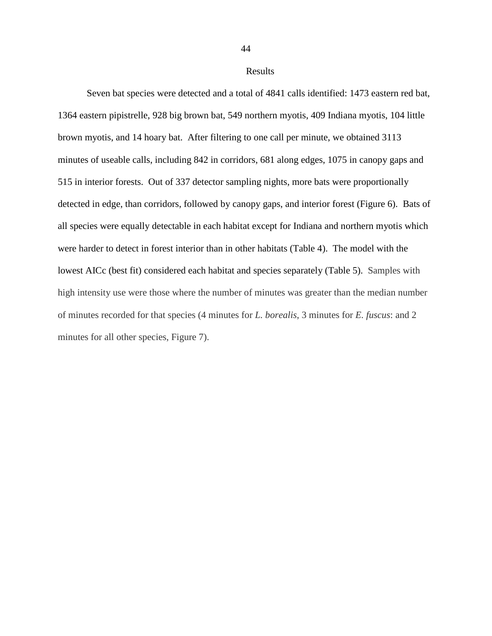44

Seven bat species were detected and a total of 4841 calls identified: 1473 eastern red bat, 1364 eastern pipistrelle, 928 big brown bat, 549 northern myotis, 409 Indiana myotis, 104 little brown myotis, and 14 hoary bat. After filtering to one call per minute, we obtained 3113 minutes of useable calls, including 842 in corridors, 681 along edges, 1075 in canopy gaps and 515 in interior forests. Out of 337 detector sampling nights, more bats were proportionally detected in edge, than corridors, followed by canopy gaps, and interior forest (Figure 6). Bats of all species were equally detectable in each habitat except for Indiana and northern myotis which were harder to detect in forest interior than in other habitats (Table 4). The model with the lowest AICc (best fit) considered each habitat and species separately (Table 5). Samples with high intensity use were those where the number of minutes was greater than the median number of minutes recorded for that species (4 minutes for *L. borealis*, 3 minutes for *E. fuscus*: and 2 minutes for all other species, Figure 7).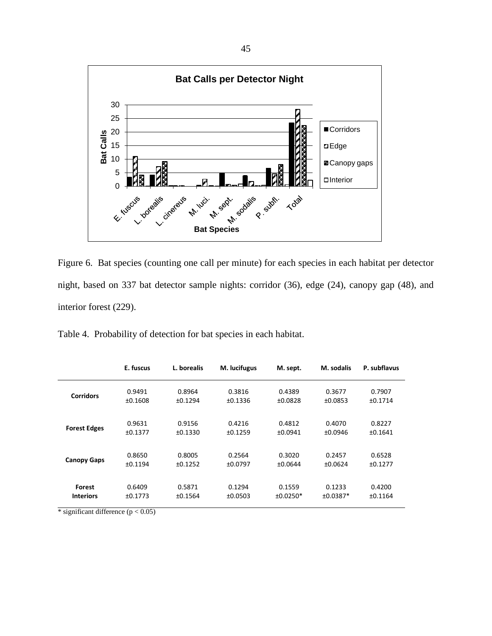

Figure 6. Bat species (counting one call per minute) for each species in each habitat per detector night, based on 337 bat detector sample nights: corridor (36), edge (24), canopy gap (48), and interior forest (229).

|                     | E. fuscus | L. borealis | M. lucifugus | M. sept.   | M. sodalis | P. subflavus |
|---------------------|-----------|-------------|--------------|------------|------------|--------------|
| <b>Corridors</b>    | 0.9491    | 0.8964      | 0.3816       | 0.4389     | 0.3677     | 0.7907       |
|                     | ±0.1608   | ±0.1294     | ±0.1336      | ±0.0828    | ±0.0853    | ±0.1714      |
| <b>Forest Edges</b> | 0.9631    | 0.9156      | 0.4216       | 0.4812     | 0.4070     | 0.8227       |
|                     | ±0.1377   | ±0.1330     | ±0.1259      | ±0.0941    | ±0.0946    | ±0.1641      |
| <b>Canopy Gaps</b>  | 0.8650    | 0.8005      | 0.2564       | 0.3020     | 0.2457     | 0.6528       |
|                     | ±0.1194   | ±0.1252     | ±0.0797      | ±0.0644    | ±0.0624    | ±0.1277      |
| <b>Forest</b>       | 0.6409    | 0.5871      | 0.1294       | 0.1559     | 0.1233     | 0.4200       |
| <b>Interiors</b>    | ±0.1773   | ±0.1564     | ±0.0503      | $±0.0250*$ | $±0.0387*$ | ±0.1164      |

\* significant difference  $(p < 0.05)$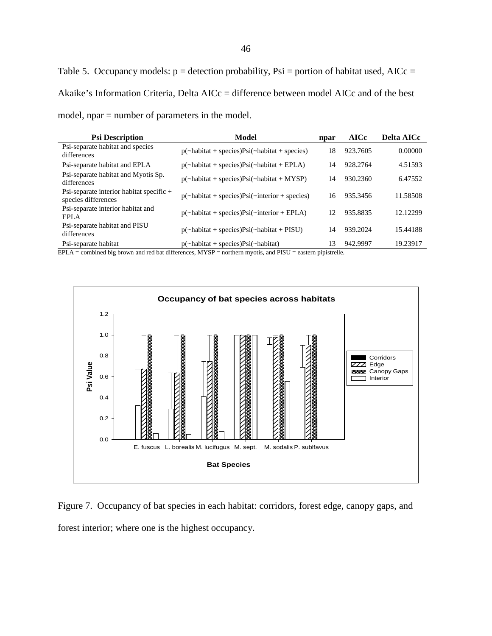Table 5. Occupancy models:  $p =$  detection probability, Psi = portion of habitat used, AICc = Akaike's Information Criteria, Delta AICc = difference between model AICc and of the best model, npar = number of parameters in the model.

| <b>Psi Description</b>                                            | Model                                                   | npar | <b>AICc</b> | <b>Delta AICc</b> |
|-------------------------------------------------------------------|---------------------------------------------------------|------|-------------|-------------------|
| Psi-separate habitat and species<br>differences                   | $p(\sim habitat + species)Psi(\sim habitat + species)$  | 18   | 923.7605    | 0.00000           |
| Psi-separate habitat and EPLA                                     | $p(\sim habitat + species)Psi(\sim habitat + EPLA)$     | 14   | 928.2764    | 4.51593           |
| Psi-separate habitat and Myotis Sp.<br>differences                | $p(\sim habitat + species)Psi(\sim habitat + MYSP)$     | 14   | 930.2360    | 6.47552           |
| Psi-separate interior habitat specific $+$<br>species differences | $p(\sim habitat + species)Psi(\sim interior + species)$ | 16   | 935.3456    | 11.58508          |
| Psi-separate interior habitat and<br>EPLA                         | $p(\sim habitat + species)Psi(\sim interior + EPLA)$    | 12   | 935.8835    | 12.12299          |
| Psi-separate habitat and PISU<br>differences                      | $p(\sim)$ habitat + species) $Psi(\sim)$ habitat + PISU | 14   | 939.2024    | 15.44188          |
| Psi-separate habitat                                              | $p(\sim habitat + species)Psi(\sim habitat)$            | 13   | 942.9997    | 19.23917          |

EPLA = combined big brown and red bat differences, MYSP = northern myotis, and PISU = eastern pipistrelle.



Figure 7. Occupancy of bat species in each habitat: corridors, forest edge, canopy gaps, and forest interior; where one is the highest occupancy.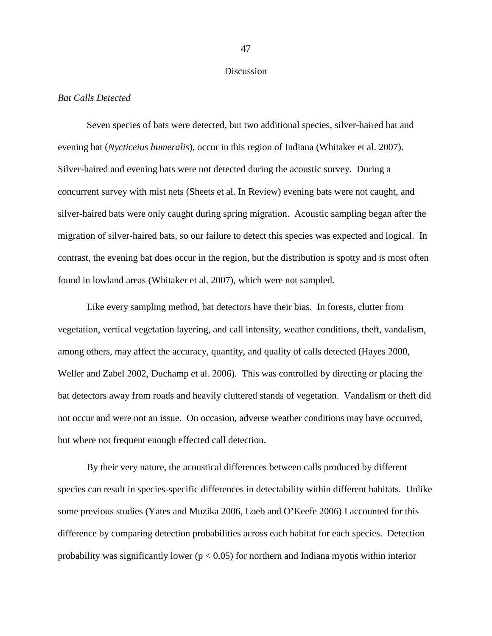## Discussion

#### *Bat Calls Detected*

Seven species of bats were detected, but two additional species, silver-haired bat and evening bat (*Nycticeius humeralis*), occur in this region of Indiana (Whitaker et al. 2007). Silver-haired and evening bats were not detected during the acoustic survey. During a concurrent survey with mist nets (Sheets et al. In Review) evening bats were not caught, and silver-haired bats were only caught during spring migration. Acoustic sampling began after the migration of silver-haired bats, so our failure to detect this species was expected and logical. In contrast, the evening bat does occur in the region, but the distribution is spotty and is most often found in lowland areas (Whitaker et al. 2007), which were not sampled.

Like every sampling method, bat detectors have their bias. In forests, clutter from vegetation, vertical vegetation layering, and call intensity, weather conditions, theft, vandalism, among others, may affect the accuracy, quantity, and quality of calls detected (Hayes 2000, Weller and Zabel 2002, Duchamp et al. 2006). This was controlled by directing or placing the bat detectors away from roads and heavily cluttered stands of vegetation. Vandalism or theft did not occur and were not an issue. On occasion, adverse weather conditions may have occurred, but where not frequent enough effected call detection.

By their very nature, the acoustical differences between calls produced by different species can result in species-specific differences in detectability within different habitats. Unlike some previous studies (Yates and Muzika 2006, Loeb and O'Keefe 2006) I accounted for this difference by comparing detection probabilities across each habitat for each species. Detection probability was significantly lower ( $p < 0.05$ ) for northern and Indiana myotis within interior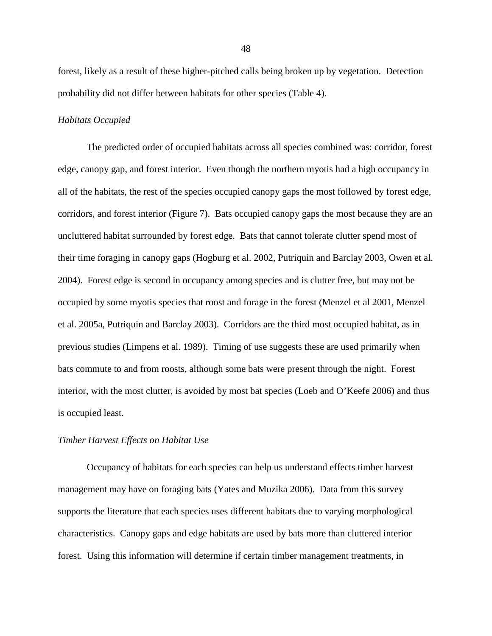forest, likely as a result of these higher-pitched calls being broken up by vegetation. Detection probability did not differ between habitats for other species (Table 4).

## *Habitats Occupied*

The predicted order of occupied habitats across all species combined was: corridor, forest edge, canopy gap, and forest interior. Even though the northern myotis had a high occupancy in all of the habitats, the rest of the species occupied canopy gaps the most followed by forest edge, corridors, and forest interior (Figure 7). Bats occupied canopy gaps the most because they are an uncluttered habitat surrounded by forest edge. Bats that cannot tolerate clutter spend most of their time foraging in canopy gaps (Hogburg et al. 2002, Putriquin and Barclay 2003, Owen et al. 2004). Forest edge is second in occupancy among species and is clutter free, but may not be occupied by some myotis species that roost and forage in the forest (Menzel et al 2001, Menzel et al. 2005a, Putriquin and Barclay 2003). Corridors are the third most occupied habitat, as in previous studies (Limpens et al. 1989). Timing of use suggests these are used primarily when bats commute to and from roosts, although some bats were present through the night. Forest interior, with the most clutter, is avoided by most bat species (Loeb and O'Keefe 2006) and thus is occupied least.

#### *Timber Harvest Effects on Habitat Use*

Occupancy of habitats for each species can help us understand effects timber harvest management may have on foraging bats (Yates and Muzika 2006). Data from this survey supports the literature that each species uses different habitats due to varying morphological characteristics. Canopy gaps and edge habitats are used by bats more than cluttered interior forest. Using this information will determine if certain timber management treatments, in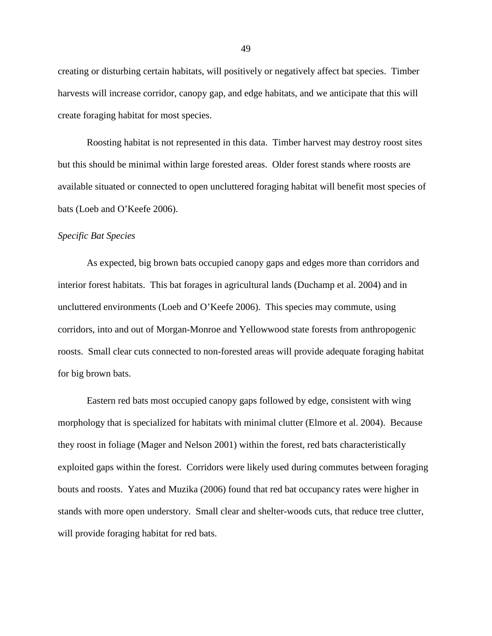creating or disturbing certain habitats, will positively or negatively affect bat species. Timber harvests will increase corridor, canopy gap, and edge habitats, and we anticipate that this will create foraging habitat for most species.

Roosting habitat is not represented in this data. Timber harvest may destroy roost sites but this should be minimal within large forested areas. Older forest stands where roosts are available situated or connected to open uncluttered foraging habitat will benefit most species of bats (Loeb and O'Keefe 2006).

## *Specific Bat Species*

As expected, big brown bats occupied canopy gaps and edges more than corridors and interior forest habitats. This bat forages in agricultural lands (Duchamp et al. 2004) and in uncluttered environments (Loeb and O'Keefe 2006). This species may commute, using corridors, into and out of Morgan-Monroe and Yellowwood state forests from anthropogenic roosts. Small clear cuts connected to non-forested areas will provide adequate foraging habitat for big brown bats.

Eastern red bats most occupied canopy gaps followed by edge, consistent with wing morphology that is specialized for habitats with minimal clutter (Elmore et al. 2004). Because they roost in foliage (Mager and Nelson 2001) within the forest, red bats characteristically exploited gaps within the forest. Corridors were likely used during commutes between foraging bouts and roosts. Yates and Muzika (2006) found that red bat occupancy rates were higher in stands with more open understory. Small clear and shelter-woods cuts, that reduce tree clutter, will provide foraging habitat for red bats.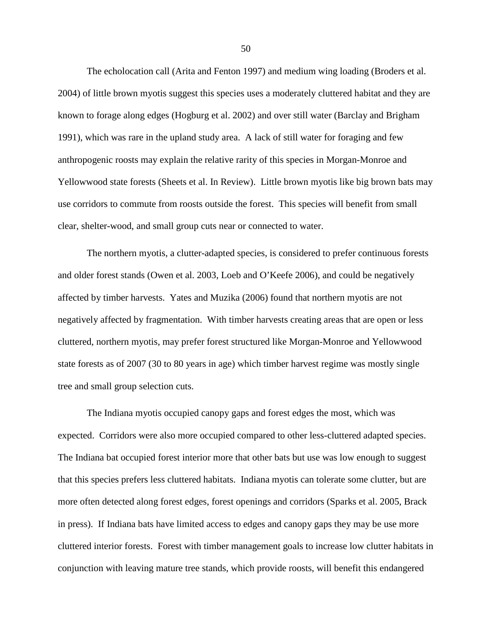The echolocation call (Arita and Fenton 1997) and medium wing loading (Broders et al. 2004) of little brown myotis suggest this species uses a moderately cluttered habitat and they are known to forage along edges (Hogburg et al. 2002) and over still water (Barclay and Brigham 1991), which was rare in the upland study area. A lack of still water for foraging and few anthropogenic roosts may explain the relative rarity of this species in Morgan-Monroe and Yellowwood state forests (Sheets et al. In Review). Little brown myotis like big brown bats may use corridors to commute from roosts outside the forest. This species will benefit from small clear, shelter-wood, and small group cuts near or connected to water.

The northern myotis, a clutter-adapted species, is considered to prefer continuous forests and older forest stands (Owen et al. 2003, Loeb and O'Keefe 2006), and could be negatively affected by timber harvests. Yates and Muzika (2006) found that northern myotis are not negatively affected by fragmentation. With timber harvests creating areas that are open or less cluttered, northern myotis, may prefer forest structured like Morgan-Monroe and Yellowwood state forests as of 2007 (30 to 80 years in age) which timber harvest regime was mostly single tree and small group selection cuts.

The Indiana myotis occupied canopy gaps and forest edges the most, which was expected. Corridors were also more occupied compared to other less-cluttered adapted species. The Indiana bat occupied forest interior more that other bats but use was low enough to suggest that this species prefers less cluttered habitats. Indiana myotis can tolerate some clutter, but are more often detected along forest edges, forest openings and corridors (Sparks et al. 2005, Brack in press). If Indiana bats have limited access to edges and canopy gaps they may be use more cluttered interior forests. Forest with timber management goals to increase low clutter habitats in conjunction with leaving mature tree stands, which provide roosts, will benefit this endangered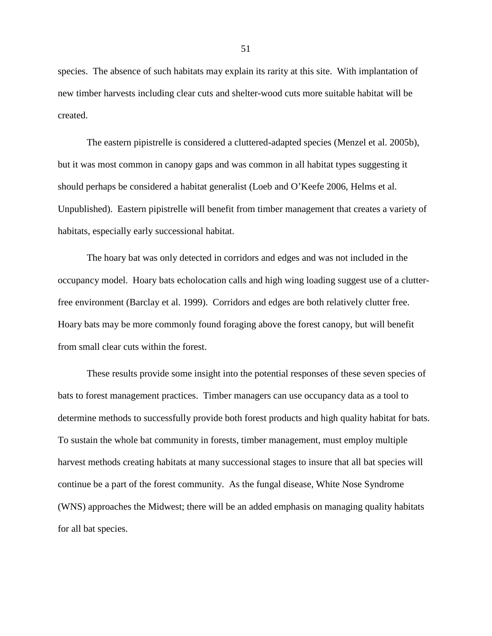species. The absence of such habitats may explain its rarity at this site. With implantation of new timber harvests including clear cuts and shelter-wood cuts more suitable habitat will be created.

The eastern pipistrelle is considered a cluttered-adapted species (Menzel et al. 2005b), but it was most common in canopy gaps and was common in all habitat types suggesting it should perhaps be considered a habitat generalist (Loeb and O'Keefe 2006, Helms et al. Unpublished). Eastern pipistrelle will benefit from timber management that creates a variety of habitats, especially early successional habitat.

The hoary bat was only detected in corridors and edges and was not included in the occupancy model. Hoary bats echolocation calls and high wing loading suggest use of a clutterfree environment (Barclay et al. 1999). Corridors and edges are both relatively clutter free. Hoary bats may be more commonly found foraging above the forest canopy, but will benefit from small clear cuts within the forest.

These results provide some insight into the potential responses of these seven species of bats to forest management practices. Timber managers can use occupancy data as a tool to determine methods to successfully provide both forest products and high quality habitat for bats. To sustain the whole bat community in forests, timber management, must employ multiple harvest methods creating habitats at many successional stages to insure that all bat species will continue be a part of the forest community. As the fungal disease, White Nose Syndrome (WNS) approaches the Midwest; there will be an added emphasis on managing quality habitats for all bat species.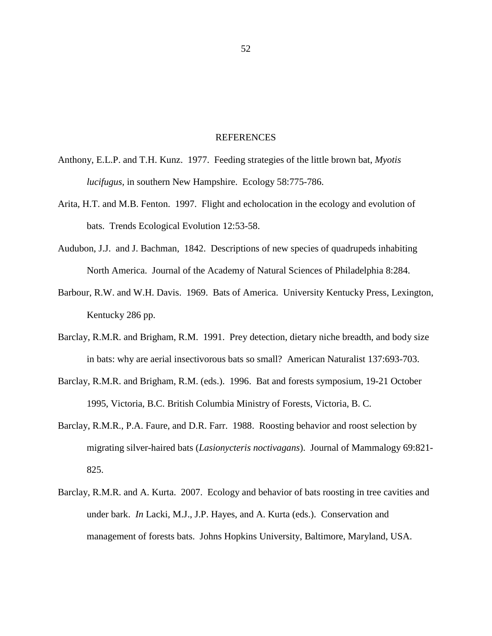## REFERENCES

- Anthony, E.L.P. and T.H. Kunz. 1977. Feeding strategies of the little brown bat, *Myotis lucifugus,* in southern New Hampshire. Ecology 58:775-786.
- Arita, H.T. and M.B. Fenton. 1997. Flight and echolocation in the ecology and evolution of bats. Trends Ecological Evolution 12:53-58.
- Audubon, J.J. and J. Bachman, 1842. Descriptions of new species of quadrupeds inhabiting North America. Journal of the Academy of Natural Sciences of Philadelphia 8:284.
- Barbour, R.W. and W.H. Davis. 1969. Bats of America. University Kentucky Press, Lexington, Kentucky 286 pp.
- Barclay, R.M.R. and Brigham, R.M. 1991. Prey detection, dietary niche breadth, and body size in bats: why are aerial insectivorous bats so small? American Naturalist 137:693-703.
- Barclay, R.M.R. and Brigham, R.M. (eds.). 1996. Bat and forests symposium, 19-21 October 1995, Victoria, B.C. British Columbia Ministry of Forests, Victoria, B. C.
- Barclay, R.M.R., P.A. Faure, and D.R. Farr. 1988. Roosting behavior and roost selection by migrating silver-haired bats (*Lasionycteris noctivagans*). Journal of Mammalogy 69:821- 825.
- Barclay, R.M.R. and A. Kurta. 2007. Ecology and behavior of bats roosting in tree cavities and under bark. *In* Lacki, M.J., J.P. Hayes, and A. Kurta (eds.). Conservation and management of forests bats. Johns Hopkins University, Baltimore, Maryland, USA.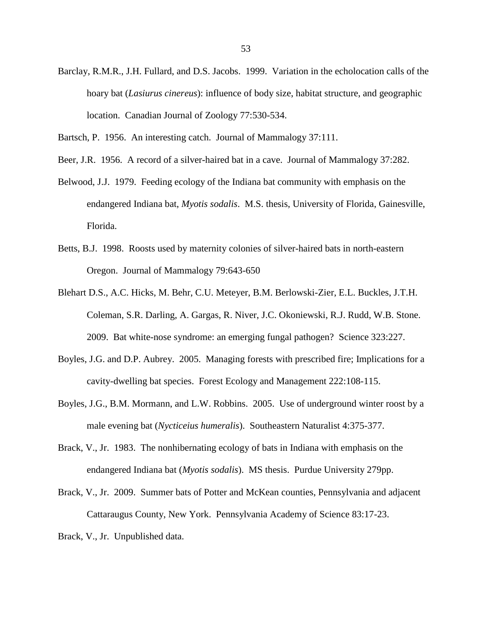- Barclay, R.M.R., J.H. Fullard, and D.S. Jacobs. 1999. Variation in the echolocation calls of the hoary bat (*Lasiurus cinereus*): influence of body size, habitat structure, and geographic location. Canadian Journal of Zoology 77:530-534.
- Bartsch, P. 1956. An interesting catch. Journal of Mammalogy 37:111.
- Beer, J.R. 1956. A record of a silver-haired bat in a cave. Journal of Mammalogy 37:282.
- Belwood, J.J. 1979. Feeding ecology of the Indiana bat community with emphasis on the endangered Indiana bat, *Myotis sodalis*. M.S. thesis, University of Florida, Gainesville, Florida.
- Betts, B.J. 1998. Roosts used by maternity colonies of silver-haired bats in north-eastern Oregon. Journal of Mammalogy 79:643-650
- Blehart D.S., A.C. Hicks, M. Behr, C.U. Meteyer, B.M. Berlowski-Zier, E.L. Buckles, J.T.H. Coleman, S.R. Darling, A. Gargas, R. Niver, J.C. Okoniewski, R.J. Rudd, W.B. Stone. 2009. Bat white-nose syndrome: an emerging fungal pathogen? Science 323:227.
- Boyles, J.G. and D.P. Aubrey. 2005. Managing forests with prescribed fire; Implications for a cavity-dwelling bat species. Forest Ecology and Management 222:108-115.
- Boyles, J.G., B.M. Mormann, and L.W. Robbins. 2005. Use of underground winter roost by a male evening bat (*Nycticeius humeralis*). Southeastern Naturalist 4:375-377.
- Brack, V., Jr. 1983. The nonhibernating ecology of bats in Indiana with emphasis on the endangered Indiana bat (*Myotis sodalis*). MS thesis. Purdue University 279pp.
- Brack, V., Jr. 2009. Summer bats of Potter and McKean counties, Pennsylvania and adjacent Cattaraugus County, New York. Pennsylvania Academy of Science 83:17-23.
- Brack, V., Jr. Unpublished data.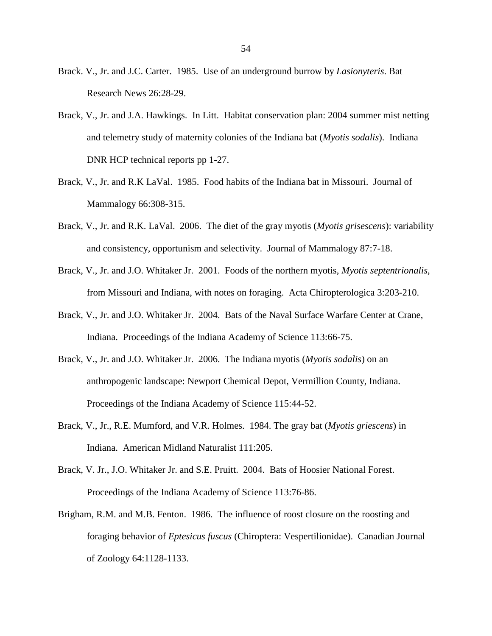- Brack. V., Jr. and J.C. Carter. 1985. Use of an underground burrow by *Lasionyteris*. Bat Research News 26:28-29.
- Brack, V., Jr. and J.A. Hawkings. In Litt. Habitat conservation plan: 2004 summer mist netting and telemetry study of maternity colonies of the Indiana bat (*Myotis sodalis*). Indiana DNR HCP technical reports pp 1-27.
- Brack, V., Jr. and R.K LaVal. 1985. Food habits of the Indiana bat in Missouri. Journal of Mammalogy 66:308-315.
- Brack, V., Jr. and R.K. LaVal. 2006. The diet of the gray myotis (*Myotis grisescens*): variability and consistency, opportunism and selectivity. Journal of Mammalogy 87:7-18.
- Brack, V., Jr. and J.O. Whitaker Jr. 2001. Foods of the northern myotis, *Myotis septentrionalis*, from Missouri and Indiana, with notes on foraging. Acta Chiropterologica 3:203-210.
- Brack, V., Jr. and J.O. Whitaker Jr. 2004. Bats of the Naval Surface Warfare Center at Crane, Indiana. Proceedings of the Indiana Academy of Science 113:66-75.
- Brack, V., Jr. and J.O. Whitaker Jr. 2006. The Indiana myotis (*Myotis sodalis*) on an anthropogenic landscape: Newport Chemical Depot, Vermillion County, Indiana. Proceedings of the Indiana Academy of Science 115:44-52.
- Brack, V., Jr., R.E. Mumford, and V.R. Holmes. 1984. The gray bat (*Myotis griescens*) in Indiana. American Midland Naturalist 111:205.
- Brack, V. Jr., J.O. Whitaker Jr. and S.E. Pruitt. 2004. Bats of Hoosier National Forest. Proceedings of the Indiana Academy of Science 113:76-86.
- Brigham, R.M. and M.B. Fenton. 1986. The influence of roost closure on the roosting and foraging behavior of *Eptesicus fuscus* (Chiroptera: Vespertilionidae). Canadian Journal of Zoology 64:1128-1133.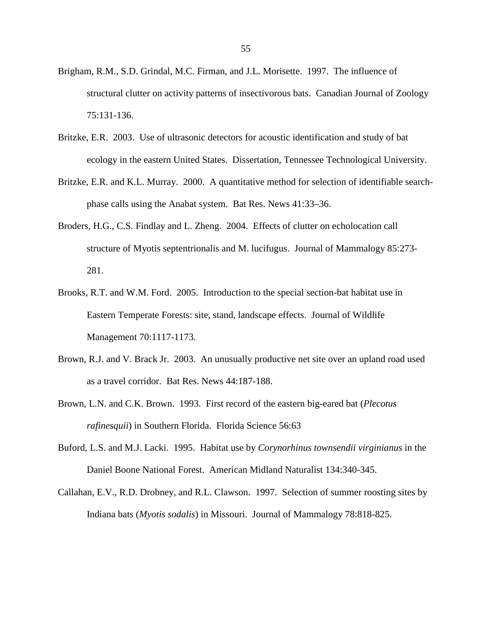- Brigham, R.M., S.D. Grindal, M.C. Firman, and J.L. Morisette. 1997. The influence of structural clutter on activity patterns of insectivorous bats. Canadian Journal of Zoology 75:131-136.
- Britzke, E.R. 2003. Use of ultrasonic detectors for acoustic identification and study of bat ecology in the eastern United States. Dissertation, Tennessee Technological University.
- Britzke, E.R. and K.L. Murray. 2000. A quantitative method for selection of identifiable searchphase calls using the Anabat system. Bat Res. News 41:33–36.
- Broders, H.G., C.S. Findlay and L. Zheng. 2004. Effects of clutter on echolocation call structure of Myotis septentrionalis and M. lucifugus. Journal of Mammalogy 85:273- 281.
- Brooks, R.T. and W.M. Ford. 2005. Introduction to the special section-bat habitat use in Eastern Temperate Forests: site, stand, landscape effects. Journal of Wildlife Management 70:1117-1173.
- Brown, R.J. and V. Brack Jr. 2003. An unusually productive net site over an upland road used as a travel corridor. Bat Res. News 44:187-188.
- Brown, L.N. and C.K. Brown. 1993. First record of the eastern big-eared bat (*Plecotus rafinesquii*) in Southern Florida. Florida Science 56:63
- Buford, L.S. and M.J. Lacki. 1995. Habitat use by *Corynorhinus townsendii virginianus* in the Daniel Boone National Forest. American Midland Naturalist 134:340-345.
- Callahan, E.V., R.D. Drobney, and R.L. Clawson. 1997. Selection of summer roosting sites by Indiana bats (*Myotis sodalis*) in Missouri. Journal of Mammalogy 78:818-825.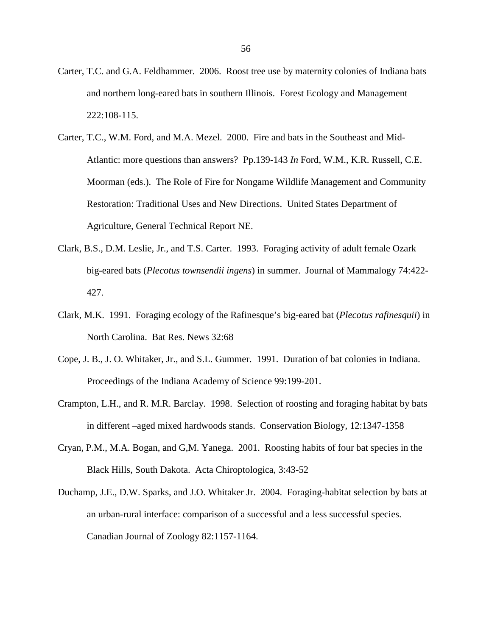- Carter, T.C. and G.A. Feldhammer. 2006. Roost tree use by maternity colonies of Indiana bats and northern long-eared bats in southern Illinois. Forest Ecology and Management 222:108-115.
- Carter, T.C., W.M. Ford, and M.A. Mezel. 2000. Fire and bats in the Southeast and Mid-Atlantic: more questions than answers? Pp.139-143 *In* Ford, W.M., K.R. Russell, C.E. Moorman (eds.). The Role of Fire for Nongame Wildlife Management and Community Restoration: Traditional Uses and New Directions. United States Department of Agriculture, General Technical Report NE.
- Clark, B.S., D.M. Leslie, Jr., and T.S. Carter. 1993. Foraging activity of adult female Ozark big-eared bats (*Plecotus townsendii ingens*) in summer. Journal of Mammalogy 74:422- 427.
- Clark, M.K. 1991. Foraging ecology of the Rafinesque's big-eared bat (*Plecotus rafinesquii*) in North Carolina. Bat Res. News 32:68
- Cope, J. B., J. O. Whitaker, Jr., and S.L. Gummer. 1991. Duration of bat colonies in Indiana. Proceedings of the Indiana Academy of Science 99:199-201.
- Crampton, L.H., and R. M.R. Barclay. 1998. Selection of roosting and foraging habitat by bats in different –aged mixed hardwoods stands. Conservation Biology, 12:1347-1358
- Cryan, P.M., M.A. Bogan, and G,M. Yanega. 2001. Roosting habits of four bat species in the Black Hills, South Dakota. Acta Chiroptologica, 3:43-52
- Duchamp, J.E., D.W. Sparks, and J.O. Whitaker Jr. 2004. Foraging-habitat selection by bats at an urban-rural interface: comparison of a successful and a less successful species. Canadian Journal of Zoology 82:1157-1164.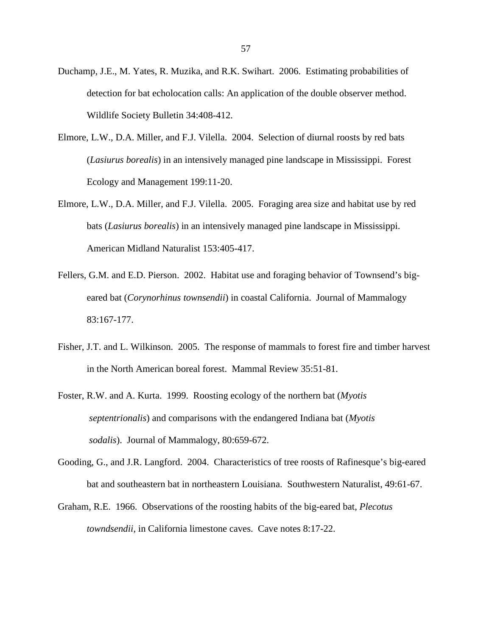- Duchamp, J.E., M. Yates, R. Muzika, and R.K. Swihart. 2006. Estimating probabilities of detection for bat echolocation calls: An application of the double observer method. Wildlife Society Bulletin 34:408-412.
- Elmore, L.W., D.A. Miller, and F.J. Vilella. 2004. Selection of diurnal roosts by red bats (*Lasiurus borealis*) in an intensively managed pine landscape in Mississippi. Forest Ecology and Management 199:11-20.
- Elmore, L.W., D.A. Miller, and F.J. Vilella. 2005. Foraging area size and habitat use by red bats (*Lasiurus borealis*) in an intensively managed pine landscape in Mississippi. American Midland Naturalist 153:405-417.
- Fellers, G.M. and E.D. Pierson. 2002. Habitat use and foraging behavior of Townsend's bigeared bat (*Corynorhinus townsendii*) in coastal California. Journal of Mammalogy 83:167-177.
- Fisher, J.T. and L. Wilkinson. 2005. The response of mammals to forest fire and timber harvest in the North American boreal forest. Mammal Review 35:51-81.
- Foster, R.W. and A. Kurta. 1999. Roosting ecology of the northern bat (*Myotis septentrionalis*) and comparisons with the endangered Indiana bat (*Myotis sodalis*). Journal of Mammalogy, 80:659-672.
- Gooding, G., and J.R. Langford. 2004. Characteristics of tree roosts of Rafinesque's big-eared bat and southeastern bat in northeastern Louisiana. Southwestern Naturalist, 49:61-67.
- Graham, R.E. 1966. Observations of the roosting habits of the big-eared bat, *Plecotus towndsendii*, in California limestone caves. Cave notes 8:17-22.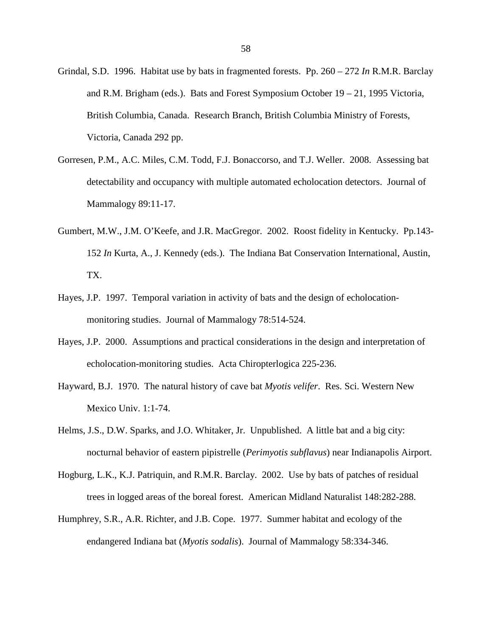- Grindal, S.D. 1996. Habitat use by bats in fragmented forests. Pp. 260 272 *In* R.M.R. Barclay and R.M. Brigham (eds.). Bats and Forest Symposium October 19 – 21, 1995 Victoria, British Columbia, Canada. Research Branch, British Columbia Ministry of Forests, Victoria, Canada 292 pp.
- Gorresen, P.M., A.C. Miles, C.M. Todd, F.J. Bonaccorso, and T.J. Weller. 2008. Assessing bat detectability and occupancy with multiple automated echolocation detectors. Journal of Mammalogy 89:11-17.
- Gumbert, M.W., J.M. O'Keefe, and J.R. MacGregor. 2002. Roost fidelity in Kentucky. Pp.143- 152 *In* Kurta, A., J. Kennedy (eds.). The Indiana Bat Conservation International, Austin, TX.
- Hayes, J.P. 1997. Temporal variation in activity of bats and the design of echolocationmonitoring studies. Journal of Mammalogy 78:514-524.
- Hayes, J.P. 2000. Assumptions and practical considerations in the design and interpretation of echolocation-monitoring studies. Acta Chiropterlogica 225-236.
- Hayward, B.J. 1970. The natural history of cave bat *Myotis velifer*. Res. Sci. Western New Mexico Univ. 1:1-74.
- Helms, J.S., D.W. Sparks, and J.O. Whitaker, Jr. Unpublished. A little bat and a big city: nocturnal behavior of eastern pipistrelle (*Perimyotis subflavus*) near Indianapolis Airport.
- Hogburg, L.K., K.J. Patriquin, and R.M.R. Barclay. 2002. Use by bats of patches of residual trees in logged areas of the boreal forest. American Midland Naturalist 148:282-288.
- Humphrey, S.R., A.R. Richter, and J.B. Cope. 1977. Summer habitat and ecology of the endangered Indiana bat (*Myotis sodalis*). Journal of Mammalogy 58:334-346.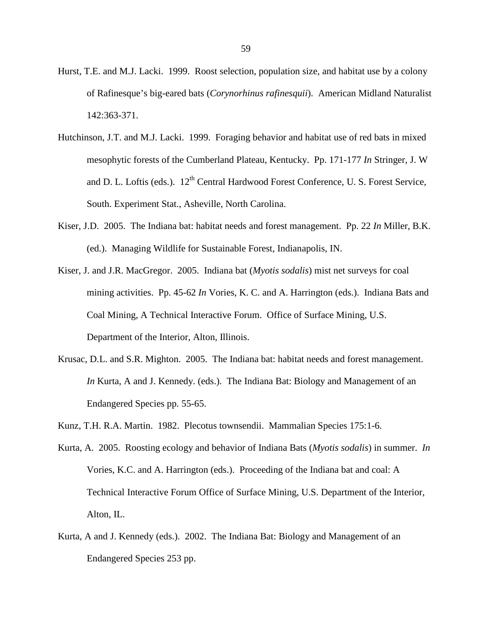- Hurst, T.E. and M.J. Lacki. 1999. Roost selection, population size, and habitat use by a colony of Rafinesque's big-eared bats (*Corynorhinus rafinesquii*). American Midland Naturalist 142:363-371.
- Hutchinson, J.T. and M.J. Lacki. 1999. Foraging behavior and habitat use of red bats in mixed mesophytic forests of the Cumberland Plateau, Kentucky. Pp. 171-177 *In* Stringer, J. W and D. L. Loftis (eds.). 12<sup>th</sup> Central Hardwood Forest Conference, U. S. Forest Service, South. Experiment Stat., Asheville, North Carolina.
- Kiser, J.D. 2005. The Indiana bat: habitat needs and forest management. Pp. 22 *In* Miller, B.K. (ed.). Managing Wildlife for Sustainable Forest, Indianapolis, IN.
- Kiser, J. and J.R. MacGregor. 2005. Indiana bat (*Myotis sodalis*) mist net surveys for coal mining activities. Pp. 45-62 *In* Vories, K. C. and A. Harrington (eds.). Indiana Bats and Coal Mining, A Technical Interactive Forum. Office of Surface Mining, U.S. Department of the Interior, Alton, Illinois.
- Krusac, D.L. and S.R. Mighton. 2005. The Indiana bat: habitat needs and forest management. *In* Kurta, A and J. Kennedy. (eds.). The Indiana Bat: Biology and Management of an Endangered Species pp. 55-65.
- Kunz, T.H. R.A. Martin. 1982. Plecotus townsendii. Mammalian Species 175:1-6.
- Kurta, A. 2005. Roosting ecology and behavior of Indiana Bats (*Myotis sodalis*) in summer. *In* Vories, K.C. and A. Harrington (eds.). Proceeding of the Indiana bat and coal: A Technical Interactive Forum Office of Surface Mining, U.S. Department of the Interior, Alton, IL.
- Kurta, A and J. Kennedy (eds.). 2002. The Indiana Bat: Biology and Management of an Endangered Species 253 pp.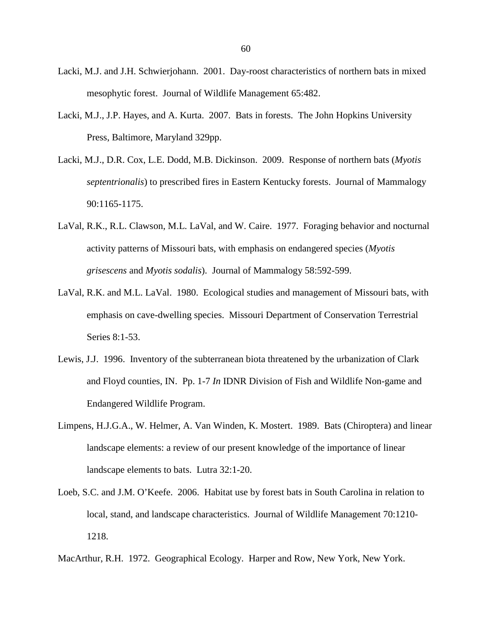- Lacki, M.J. and J.H. Schwierjohann. 2001. Day-roost characteristics of northern bats in mixed mesophytic forest. Journal of Wildlife Management 65:482.
- Lacki, M.J., J.P. Hayes, and A. Kurta. 2007. Bats in forests. The John Hopkins University Press, Baltimore, Maryland 329pp.
- Lacki, M.J., D.R. Cox, L.E. Dodd, M.B. Dickinson. 2009. Response of northern bats (*Myotis septentrionalis*) to prescribed fires in Eastern Kentucky forests. Journal of Mammalogy 90:1165-1175.
- LaVal, R.K., R.L. Clawson, M.L. LaVal, and W. Caire. 1977. Foraging behavior and nocturnal activity patterns of Missouri bats, with emphasis on endangered species (*Myotis grisescens* and *Myotis sodalis*). Journal of Mammalogy 58:592-599.
- LaVal, R.K. and M.L. LaVal. 1980. Ecological studies and management of Missouri bats, with emphasis on cave-dwelling species. Missouri Department of Conservation Terrestrial Series 8:1-53.
- Lewis, J.J. 1996. Inventory of the subterranean biota threatened by the urbanization of Clark and Floyd counties, IN. Pp. 1-7 *In* IDNR Division of Fish and Wildlife Non-game and Endangered Wildlife Program.
- Limpens, H.J.G.A., W. Helmer, A. Van Winden, K. Mostert. 1989. Bats (Chiroptera) and linear landscape elements: a review of our present knowledge of the importance of linear landscape elements to bats. Lutra 32:1-20.
- Loeb, S.C. and J.M. O'Keefe. 2006. Habitat use by forest bats in South Carolina in relation to local, stand, and landscape characteristics. Journal of Wildlife Management 70:1210- 1218.

MacArthur, R.H. 1972. Geographical Ecology. Harper and Row, New York, New York.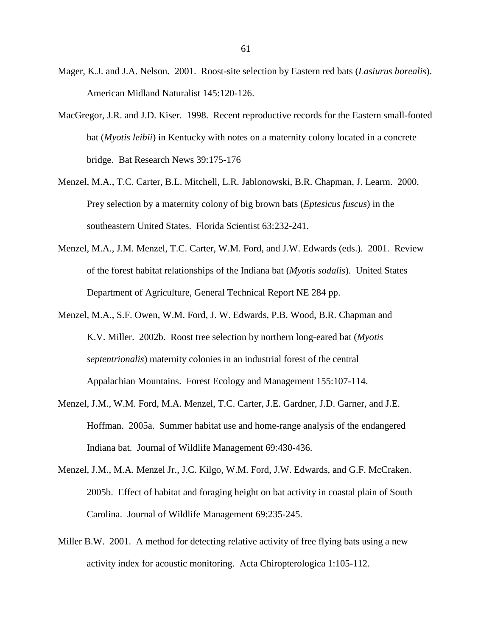- Mager, K.J. and J.A. Nelson. 2001. Roost-site selection by Eastern red bats (*Lasiurus borealis*). American Midland Naturalist 145:120-126.
- MacGregor, J.R. and J.D. Kiser. 1998. Recent reproductive records for the Eastern small-footed bat (*Myotis leibii*) in Kentucky with notes on a maternity colony located in a concrete bridge. Bat Research News 39:175-176
- Menzel, M.A., T.C. Carter, B.L. Mitchell, L.R. Jablonowski, B.R. Chapman, J. Learm. 2000. Prey selection by a maternity colony of big brown bats (*Eptesicus fuscus*) in the southeastern United States. Florida Scientist 63:232-241.
- Menzel, M.A., J.M. Menzel, T.C. Carter, W.M. Ford, and J.W. Edwards (eds.). 2001. Review of the forest habitat relationships of the Indiana bat (*Myotis sodalis*). United States Department of Agriculture, General Technical Report NE 284 pp.
- Menzel, M.A., S.F. Owen, W.M. Ford, J. W. Edwards, P.B. Wood, B.R. Chapman and K.V. Miller. 2002b. Roost tree selection by northern long-eared bat (*Myotis septentrionalis*) maternity colonies in an industrial forest of the central Appalachian Mountains. Forest Ecology and Management 155:107-114.
- Menzel, J.M., W.M. Ford, M.A. Menzel, T.C. Carter, J.E. Gardner, J.D. Garner, and J.E. Hoffman. 2005a. Summer habitat use and home-range analysis of the endangered Indiana bat. Journal of Wildlife Management 69:430-436.
- Menzel, J.M., M.A. Menzel Jr., J.C. Kilgo, W.M. Ford, J.W. Edwards, and G.F. McCraken. 2005b. Effect of habitat and foraging height on bat activity in coastal plain of South Carolina. Journal of Wildlife Management 69:235-245.
- Miller B.W. 2001. A method for detecting relative activity of free flying bats using a new activity index for acoustic monitoring. Acta Chiropterologica 1:105-112.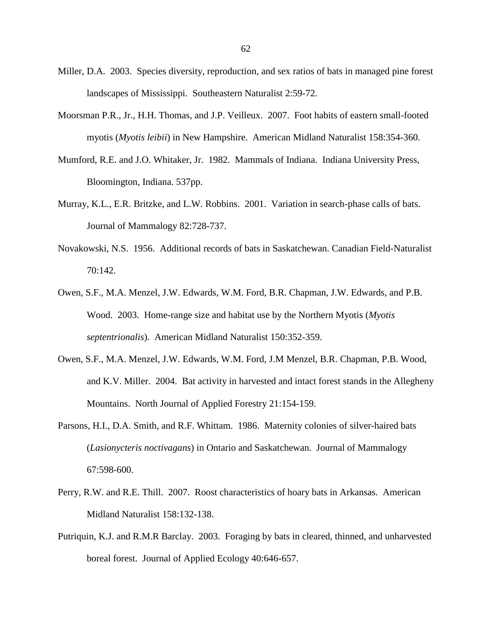- Miller, D.A. 2003. Species diversity, reproduction, and sex ratios of bats in managed pine forest landscapes of Mississippi. Southeastern Naturalist 2:59-72.
- Moorsman P.R., Jr., H.H. Thomas, and J.P. Veilleux. 2007. Foot habits of eastern small-footed myotis (*Myotis leibii*) in New Hampshire. American Midland Naturalist 158:354-360.
- Mumford, R.E. and J.O. Whitaker, Jr. 1982. Mammals of Indiana. Indiana University Press, Bloomington, Indiana. 537pp.
- Murray, K.L., E.R. Britzke, and L.W. Robbins. 2001. Variation in search-phase calls of bats. Journal of Mammalogy 82:728-737.
- Novakowski, N.S. 1956. Additional records of bats in Saskatchewan. Canadian Field-Naturalist 70:142.
- Owen, S.F., M.A. Menzel, J.W. Edwards, W.M. Ford, B.R. Chapman, J.W. Edwards, and P.B. Wood. 2003. Home-range size and habitat use by the Northern Myotis (*Myotis septentrionalis*). American Midland Naturalist 150:352-359.
- Owen, S.F., M.A. Menzel, J.W. Edwards, W.M. Ford, J.M Menzel, B.R. Chapman, P.B. Wood, and K.V. Miller. 2004. Bat activity in harvested and intact forest stands in the Allegheny Mountains. North Journal of Applied Forestry 21:154-159.
- Parsons, H.I., D.A. Smith, and R.F. Whittam. 1986. Maternity colonies of silver-haired bats (*Lasionycteris noctivagans*) in Ontario and Saskatchewan. Journal of Mammalogy 67:598-600.
- Perry, R.W. and R.E. Thill. 2007. Roost characteristics of hoary bats in Arkansas. American Midland Naturalist 158:132-138.
- Putriquin, K.J. and R.M.R Barclay. 2003. Foraging by bats in cleared, thinned, and unharvested boreal forest. Journal of Applied Ecology 40:646-657.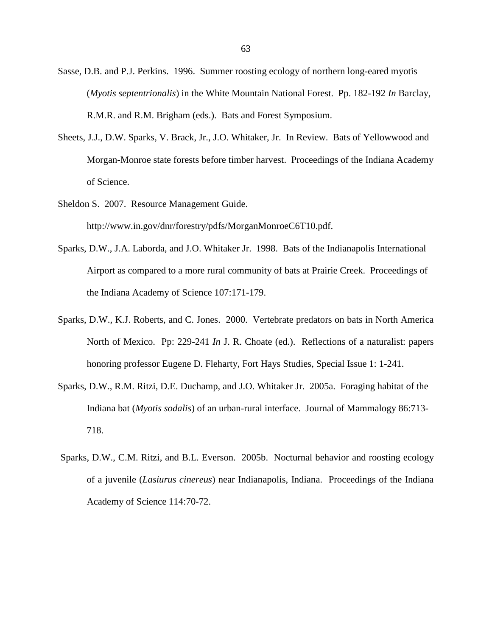- Sasse, D.B. and P.J. Perkins. 1996. Summer roosting ecology of northern long-eared myotis (*Myotis septentrionalis*) in the White Mountain National Forest. Pp. 182-192 *In* Barclay, R.M.R. and R.M. Brigham (eds.). Bats and Forest Symposium.
- Sheets, J.J., D.W. Sparks, V. Brack, Jr., J.O. Whitaker, Jr. In Review. Bats of Yellowwood and Morgan-Monroe state forests before timber harvest. Proceedings of the Indiana Academy of Science.
- Sheldon S. 2007. Resource Management Guide. http://www.in.gov/dnr/forestry/pdfs/MorganMonroeC6T10.pdf.
- Sparks, D.W., J.A. Laborda, and J.O. Whitaker Jr. 1998. Bats of the Indianapolis International Airport as compared to a more rural community of bats at Prairie Creek. Proceedings of the Indiana Academy of Science 107:171-179.
- Sparks, D.W., K.J. Roberts, and C. Jones. 2000. Vertebrate predators on bats in North America North of Mexico. Pp: 229-241 *In* J. R. Choate (ed.). Reflections of a naturalist: papers honoring professor Eugene D. Fleharty, Fort Hays Studies, Special Issue 1: 1-241.
- Sparks, D.W., R.M. Ritzi, D.E. Duchamp, and J.O. Whitaker Jr. 2005a. Foraging habitat of the Indiana bat (*Myotis sodalis*) of an urban-rural interface. Journal of Mammalogy 86:713- 718.
- Sparks, D.W., C.M. Ritzi, and B.L. Everson. 2005b. Nocturnal behavior and roosting ecology of a juvenile (*Lasiurus cinereus*) near Indianapolis, Indiana. Proceedings of the Indiana Academy of Science 114:70-72.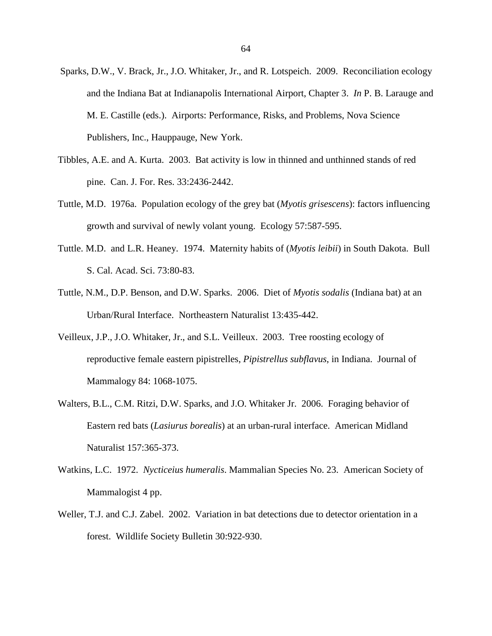- Sparks, D.W., V. Brack, Jr., J.O. Whitaker, Jr., and R. Lotspeich. 2009. Reconciliation ecology and the Indiana Bat at Indianapolis International Airport, Chapter 3. *In* P. B. Larauge and M. E. Castille (eds.). Airports: Performance, Risks, and Problems, Nova Science Publishers, Inc., Hauppauge, New York.
- Tibbles, A.E. and A. Kurta. 2003. Bat activity is low in thinned and unthinned stands of red pine. Can. J. For. Res. 33:2436-2442.
- Tuttle, M.D. 1976a. Population ecology of the grey bat (*Myotis grisescens*): factors influencing growth and survival of newly volant young. Ecology 57:587-595.
- Tuttle. M.D. and L.R. Heaney. 1974. Maternity habits of (*Myotis leibii*) in South Dakota. Bull S. Cal. Acad. Sci. 73:80-83.
- Tuttle, N.M., D.P. Benson, and D.W. Sparks. 2006. Diet of *Myotis sodalis* (Indiana bat) at an Urban/Rural Interface. Northeastern Naturalist 13:435-442.
- Veilleux, J.P., J.O. Whitaker, Jr., and S.L. Veilleux. 2003. Tree roosting ecology of reproductive female eastern pipistrelles, *Pipistrellus subflavus*, in Indiana. Journal of Mammalogy 84: 1068-1075.
- Walters, B.L., C.M. Ritzi, D.W. Sparks, and J.O. Whitaker Jr. 2006. Foraging behavior of Eastern red bats (*Lasiurus borealis*) at an urban-rural interface. American Midland Naturalist 157:365-373.
- Watkins, L.C. 1972. *Nycticeius humeralis*. Mammalian Species No. 23. American Society of Mammalogist 4 pp.
- Weller, T.J. and C.J. Zabel. 2002. Variation in bat detections due to detector orientation in a forest. Wildlife Society Bulletin 30:922-930.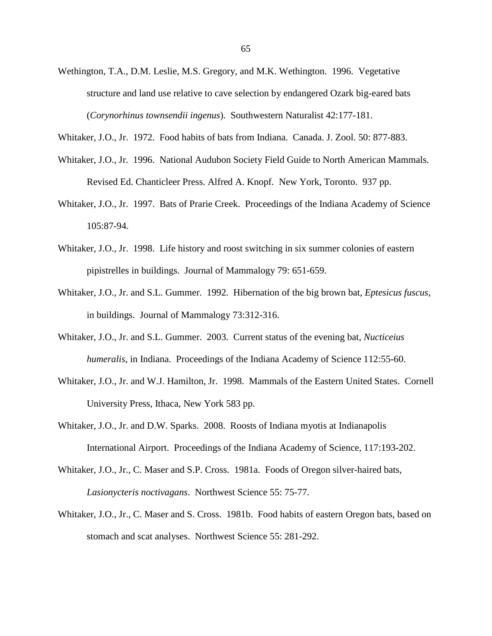- Wethington, T.A., D.M. Leslie, M.S. Gregory, and M.K. Wethington. 1996. Vegetative structure and land use relative to cave selection by endangered Ozark big-eared bats (*Corynorhinus townsendii ingenus*). Southwestern Naturalist 42:177-181.
- Whitaker, J.O., Jr. 1972. Food habits of bats from Indiana. Canada. J. Zool. 50: 877-883.
- Whitaker, J.O., Jr. 1996. National Audubon Society Field Guide to North American Mammals. Revised Ed. Chanticleer Press. Alfred A. Knopf. New York, Toronto. 937 pp.
- Whitaker, J.O., Jr. 1997. Bats of Prarie Creek. Proceedings of the Indiana Academy of Science 105:87-94.
- Whitaker, J.O., Jr. 1998. Life history and roost switching in six summer colonies of eastern pipistrelles in buildings. Journal of Mammalogy 79: 651-659.
- Whitaker, J.O., Jr. and S.L. Gummer. 1992. Hibernation of the big brown bat, *Eptesicus fuscus*, in buildings. Journal of Mammalogy 73:312-316.
- Whitaker, J.O., Jr. and S.L. Gummer. 2003. Current status of the evening bat, *Nucticeius humeralis*, in Indiana. Proceedings of the Indiana Academy of Science 112:55-60.
- Whitaker, J.O., Jr. and W.J. Hamilton, Jr. 1998. Mammals of the Eastern United States. Cornell University Press, Ithaca, New York 583 pp.
- Whitaker, J.O., Jr. and D.W. Sparks. 2008. Roosts of Indiana myotis at Indianapolis International Airport. Proceedings of the Indiana Academy of Science, 117:193-202.
- Whitaker, J.O., Jr., C. Maser and S.P. Cross. 1981a. Foods of Oregon silver-haired bats, *Lasionycteris noctivagans*. Northwest Science 55: 75-77.
- Whitaker, J.O., Jr., C. Maser and S. Cross. 1981b. Food habits of eastern Oregon bats, based on stomach and scat analyses. Northwest Science 55: 281-292.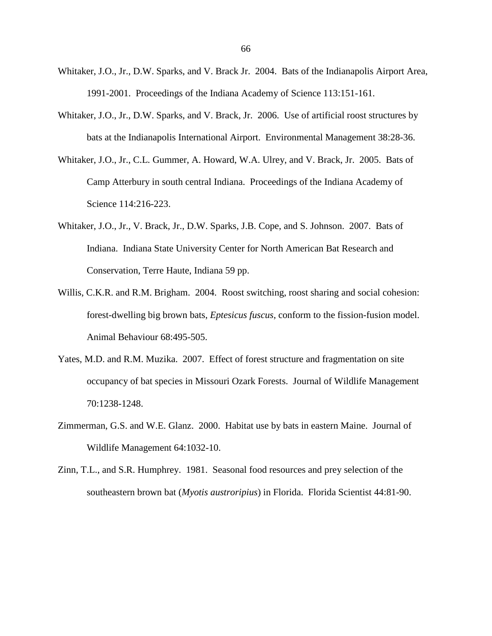- Whitaker, J.O., Jr., D.W. Sparks, and V. Brack Jr. 2004. Bats of the Indianapolis Airport Area, 1991-2001. Proceedings of the Indiana Academy of Science 113:151-161.
- Whitaker, J.O., Jr., D.W. Sparks, and V. Brack, Jr. 2006. Use of artificial roost structures by bats at the Indianapolis International Airport. Environmental Management 38:28-36.
- Whitaker, J.O., Jr., C.L. Gummer, A. Howard, W.A. Ulrey, and V. Brack, Jr. 2005. Bats of Camp Atterbury in south central Indiana. Proceedings of the Indiana Academy of Science 114:216-223.
- Whitaker, J.O., Jr., V. Brack, Jr., D.W. Sparks, J.B. Cope, and S. Johnson. 2007. Bats of Indiana. Indiana State University Center for North American Bat Research and Conservation, Terre Haute, Indiana 59 pp.
- Willis, C.K.R. and R.M. Brigham. 2004. Roost switching, roost sharing and social cohesion: forest-dwelling big brown bats, *Eptesicus fuscus*, conform to the fission-fusion model. Animal Behaviour 68:495-505.
- Yates, M.D. and R.M. Muzika. 2007. Effect of forest structure and fragmentation on site occupancy of bat species in Missouri Ozark Forests. Journal of Wildlife Management 70:1238-1248.
- Zimmerman, G.S. and W.E. Glanz. 2000. Habitat use by bats in eastern Maine. Journal of Wildlife Management 64:1032-10.
- Zinn, T.L., and S.R. Humphrey. 1981. Seasonal food resources and prey selection of the southeastern brown bat (*Myotis austroripius*) in Florida. Florida Scientist 44:81-90.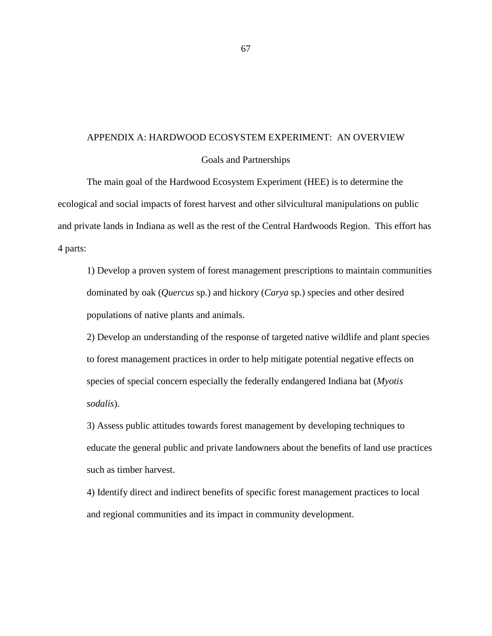## APPENDIX A: HARDWOOD ECOSYSTEM EXPERIMENT: AN OVERVIEW

## Goals and Partnerships

The main goal of the Hardwood Ecosystem Experiment (HEE) is to determine the ecological and social impacts of forest harvest and other silvicultural manipulations on public and private lands in Indiana as well as the rest of the Central Hardwoods Region. This effort has 4 parts:

1) Develop a proven system of forest management prescriptions to maintain communities dominated by oak (*Quercus* sp.) and hickory (*Carya* sp.) species and other desired populations of native plants and animals.

2) Develop an understanding of the response of targeted native wildlife and plant species to forest management practices in order to help mitigate potential negative effects on species of special concern especially the federally endangered Indiana bat (*Myotis sodalis*).

3) Assess public attitudes towards forest management by developing techniques to educate the general public and private landowners about the benefits of land use practices such as timber harvest.

4) Identify direct and indirect benefits of specific forest management practices to local and regional communities and its impact in community development.

67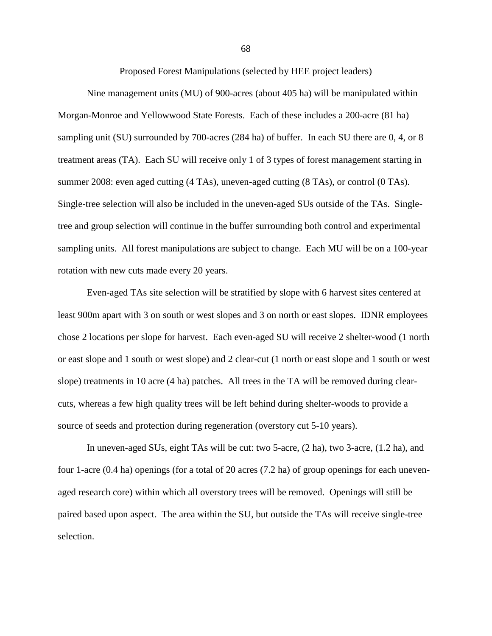Proposed Forest Manipulations (selected by HEE project leaders)

Nine management units (MU) of 900-acres (about 405 ha) will be manipulated within Morgan-Monroe and Yellowwood State Forests. Each of these includes a 200-acre (81 ha) sampling unit (SU) surrounded by 700-acres (284 ha) of buffer. In each SU there are 0, 4, or 8 treatment areas (TA). Each SU will receive only 1 of 3 types of forest management starting in summer 2008: even aged cutting (4 TAs), uneven-aged cutting (8 TAs), or control (0 TAs). Single-tree selection will also be included in the uneven-aged SUs outside of the TAs. Singletree and group selection will continue in the buffer surrounding both control and experimental sampling units. All forest manipulations are subject to change. Each MU will be on a 100-year rotation with new cuts made every 20 years.

Even-aged TAs site selection will be stratified by slope with 6 harvest sites centered at least 900m apart with 3 on south or west slopes and 3 on north or east slopes. IDNR employees chose 2 locations per slope for harvest. Each even-aged SU will receive 2 shelter-wood (1 north or east slope and 1 south or west slope) and 2 clear-cut (1 north or east slope and 1 south or west slope) treatments in 10 acre (4 ha) patches. All trees in the TA will be removed during clearcuts, whereas a few high quality trees will be left behind during shelter-woods to provide a source of seeds and protection during regeneration (overstory cut 5-10 years).

In uneven-aged SUs, eight TAs will be cut: two 5-acre, (2 ha), two 3-acre, (1.2 ha), and four 1-acre (0.4 ha) openings (for a total of 20 acres (7.2 ha) of group openings for each unevenaged research core) within which all overstory trees will be removed. Openings will still be paired based upon aspect. The area within the SU, but outside the TAs will receive single-tree selection.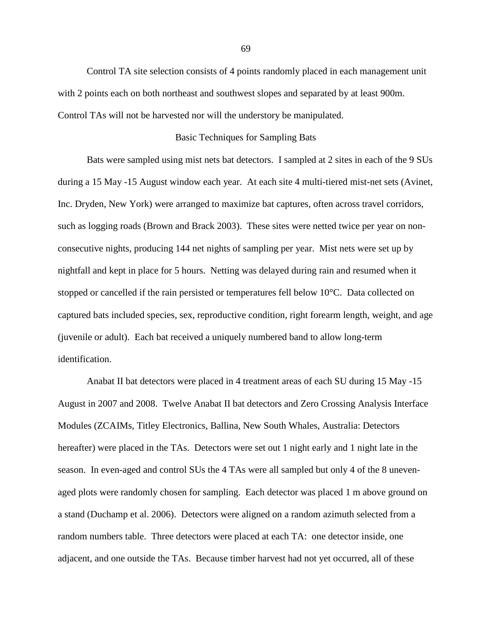Control TA site selection consists of 4 points randomly placed in each management unit with 2 points each on both northeast and southwest slopes and separated by at least 900m. Control TAs will not be harvested nor will the understory be manipulated.

## Basic Techniques for Sampling Bats

Bats were sampled using mist nets bat detectors. I sampled at 2 sites in each of the 9 SUs during a 15 May -15 August window each year. At each site 4 multi-tiered mist-net sets (Avinet, Inc. Dryden, New York) were arranged to maximize bat captures, often across travel corridors, such as logging roads (Brown and Brack 2003). These sites were netted twice per year on nonconsecutive nights, producing 144 net nights of sampling per year. Mist nets were set up by nightfall and kept in place for 5 hours. Netting was delayed during rain and resumed when it stopped or cancelled if the rain persisted or temperatures fell below 10°C. Data collected on captured bats included species, sex, reproductive condition, right forearm length, weight, and age (juvenile or adult). Each bat received a uniquely numbered band to allow long-term identification.

Anabat II bat detectors were placed in 4 treatment areas of each SU during 15 May -15 August in 2007 and 2008. Twelve Anabat II bat detectors and Zero Crossing Analysis Interface Modules (ZCAIMs, Titley Electronics, Ballina, New South Whales, Australia: Detectors hereafter) were placed in the TAs. Detectors were set out 1 night early and 1 night late in the season. In even-aged and control SUs the 4 TAs were all sampled but only 4 of the 8 unevenaged plots were randomly chosen for sampling. Each detector was placed 1 m above ground on a stand (Duchamp et al. 2006). Detectors were aligned on a random azimuth selected from a random numbers table. Three detectors were placed at each TA: one detector inside, one adjacent, and one outside the TAs. Because timber harvest had not yet occurred, all of these